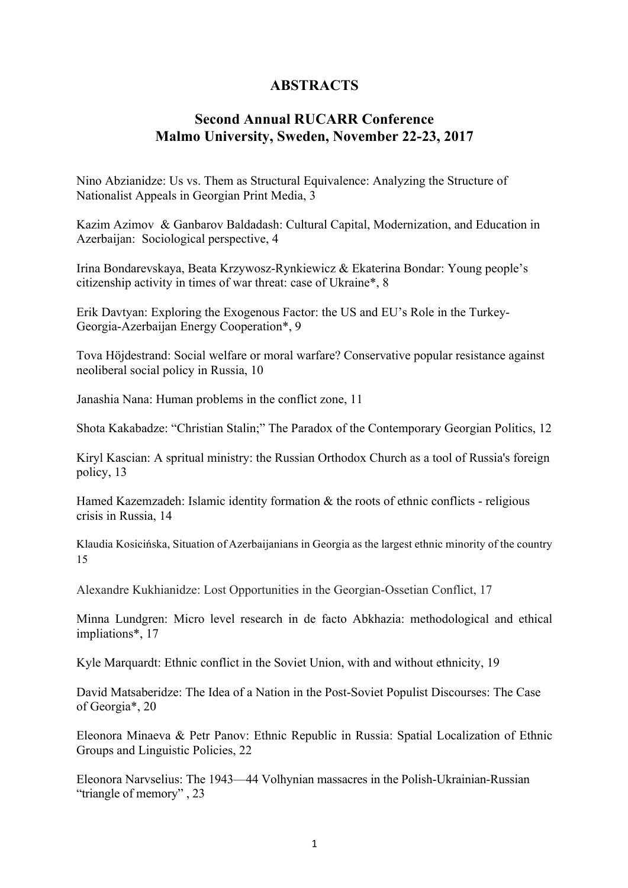# **ABSTRACTS**

# **Second Annual RUCARR Conference Malmo University, Sweden, November 22-23, 2017**

Nino Abzianidze: Us vs. Them as Structural Equivalence: Analyzing the Structure of Nationalist Appeals in Georgian Print Media, 3

Kazim Azimov & Ganbarov Baldadash: Cultural Capital, Modernization, and Education in Azerbaijan: Sociological perspective, 4

Irina Bondarevskaya, Beata Krzywosz-Rynkiewicz & Ekaterina Bondar: Young people's citizenship activity in times of war threat: case of Ukraine\*, 8

Erik Davtyan: Exploring the Exogenous Factor: the US and EU's Role in the Turkey-Georgia-Azerbaijan Energy Cooperation\*, 9

Tova Höjdestrand: Social welfare or moral warfare? Conservative popular resistance against neoliberal social policy in Russia, 10

Janashia Nana: Human problems in the conflict zone, 11

Shota Kakabadze: "Christian Stalin;" The Paradox of the Contemporary Georgian Politics, 12

Kiryl Kascian: A spritual ministry: the Russian Orthodox Church as a tool of Russia's foreign policy, 13

Hamed Kazemzadeh: Islamic identity formation & the roots of ethnic conflicts - religious crisis in Russia, 14

Klaudia Kosicińska, Situation of Azerbaijanians in Georgia as the largest ethnic minority of the country 15

Alexandre Kukhianidze: Lost Opportunities in the Georgian-Ossetian Conflict, 17

Minna Lundgren: Micro level research in de facto Abkhazia: methodological and ethical impliations\*, 17

Kyle Marquardt: Ethnic conflict in the Soviet Union, with and without ethnicity, 19

David Matsaberidze: The Idea of a Nation in the Post-Soviet Populist Discourses: The Case of Georgia\*, 20

Eleonora Minaeva & Petr Panov: Ethnic Republic in Russia: Spatial Localization of Ethnic Groups and Linguistic Policies, 22

Eleonora Narvselius: The 1943—44 Volhynian massacres in the Polish-Ukrainian-Russian "triangle of memory" , 23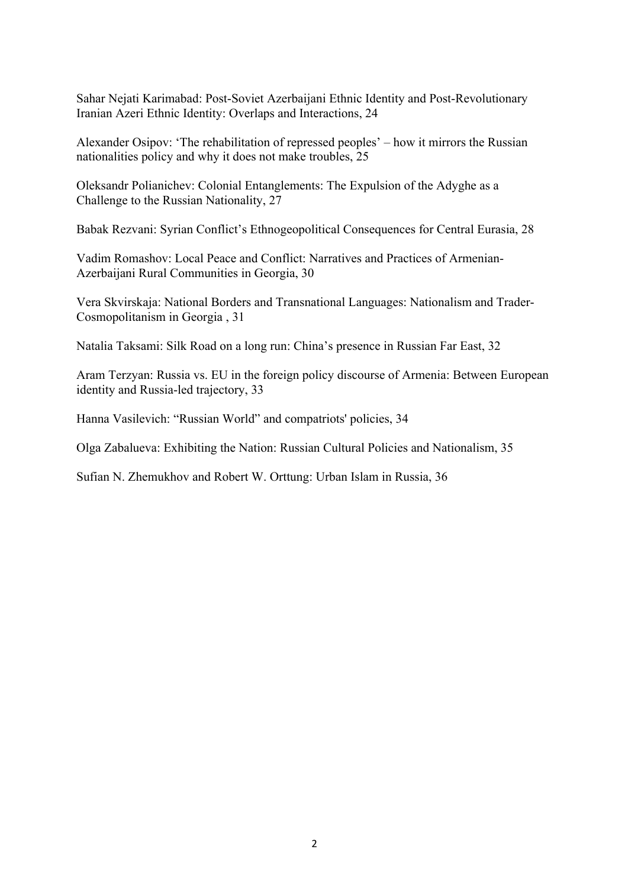Sahar Nejati Karimabad: Post-Soviet Azerbaijani Ethnic Identity and Post-Revolutionary Iranian Azeri Ethnic Identity: Overlaps and Interactions, 24

Alexander Osipov: 'The rehabilitation of repressed peoples' – how it mirrors the Russian nationalities policy and why it does not make troubles, 25

Oleksandr Polianichev: Colonial Entanglements: The Expulsion of the Adyghe as a Challenge to the Russian Nationality, 27

Babak Rezvani: Syrian Conflict's Ethnogeopolitical Consequences for Central Eurasia, 28

Vadim Romashov: Local Peace and Conflict: Narratives and Practices of Armenian-Azerbaijani Rural Communities in Georgia, 30

Vera Skvirskaja: National Borders and Transnational Languages: Nationalism and Trader-Cosmopolitanism in Georgia , 31

Natalia Taksami: Silk Road on a long run: China's presence in Russian Far East, 32

Aram Terzyan: Russia vs. EU in the foreign policy discourse of Armenia: Between European identity and Russia-led trajectory, 33

Hanna Vasilevich: "Russian World" and compatriots' policies, 34

Olga Zabalueva: Exhibiting the Nation: Russian Cultural Policies and Nationalism, 35

Sufian N. Zhemukhov and Robert W. Orttung: Urban Islam in Russia, 36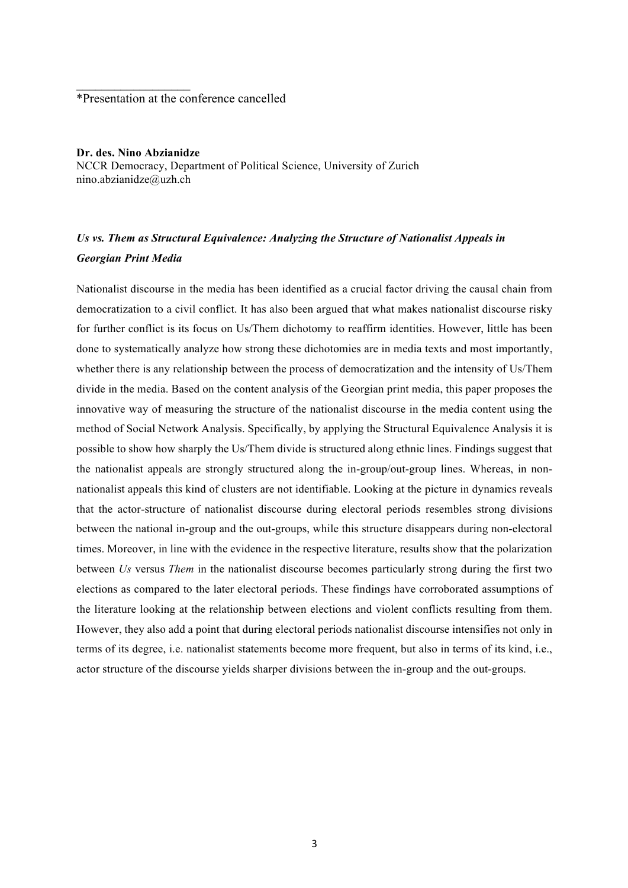### \*Presentation at the conference cancelled

 $\frac{1}{2}$ 

**Dr. des. Nino Abzianidze** NCCR Democracy, Department of Political Science, University of Zurich nino.abzianidze@uzh.ch

# *Us vs. Them as Structural Equivalence: Analyzing the Structure of Nationalist Appeals in Georgian Print Media*

Nationalist discourse in the media has been identified as a crucial factor driving the causal chain from democratization to a civil conflict. It has also been argued that what makes nationalist discourse risky for further conflict is its focus on Us/Them dichotomy to reaffirm identities. However, little has been done to systematically analyze how strong these dichotomies are in media texts and most importantly, whether there is any relationship between the process of democratization and the intensity of Us/Them divide in the media. Based on the content analysis of the Georgian print media, this paper proposes the innovative way of measuring the structure of the nationalist discourse in the media content using the method of Social Network Analysis. Specifically, by applying the Structural Equivalence Analysis it is possible to show how sharply the Us/Them divide is structured along ethnic lines. Findings suggest that the nationalist appeals are strongly structured along the in-group/out-group lines. Whereas, in nonnationalist appeals this kind of clusters are not identifiable. Looking at the picture in dynamics reveals that the actor-structure of nationalist discourse during electoral periods resembles strong divisions between the national in-group and the out-groups, while this structure disappears during non-electoral times. Moreover, in line with the evidence in the respective literature, results show that the polarization between *Us* versus *Them* in the nationalist discourse becomes particularly strong during the first two elections as compared to the later electoral periods. These findings have corroborated assumptions of the literature looking at the relationship between elections and violent conflicts resulting from them. However, they also add a point that during electoral periods nationalist discourse intensifies not only in terms of its degree, i.e. nationalist statements become more frequent, but also in terms of its kind, i.e., actor structure of the discourse yields sharper divisions between the in-group and the out-groups.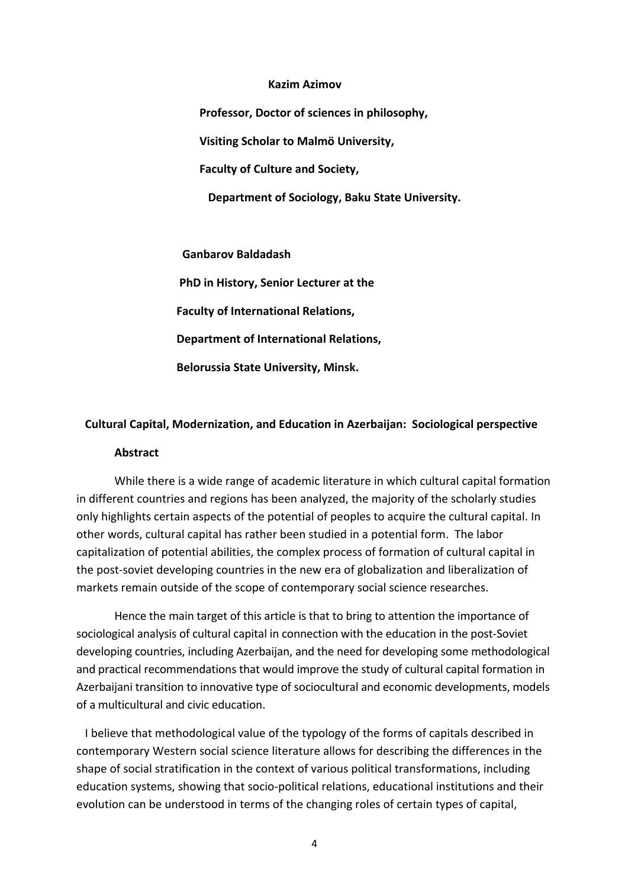### **Kazim Azimov**

Professor, Doctor of sciences in philosophy, **Visiting Scholar to Malmö University, Faculty of Culture and Society,** Department of Sociology, Baku State University.

**Ganbarov Baldadash** 

**PhD** in History, Senior Lecturer at the

**Faculty of International Relations,** 

Department of International Relations,

**Belorussia State University, Minsk.** 

### **Cultural Capital, Modernization, and Education in Azerbaijan: Sociological perspective**

### **Abstract**

While there is a wide range of academic literature in which cultural capital formation in different countries and regions has been analyzed, the majority of the scholarly studies only highlights certain aspects of the potential of peoples to acquire the cultural capital. In other words, cultural capital has rather been studied in a potential form. The labor capitalization of potential abilities, the complex process of formation of cultural capital in the post-soviet developing countries in the new era of globalization and liberalization of markets remain outside of the scope of contemporary social science researches.

Hence the main target of this article is that to bring to attention the importance of sociological analysis of cultural capital in connection with the education in the post-Soviet developing countries, including Azerbaijan, and the need for developing some methodological and practical recommendations that would improve the study of cultural capital formation in Azerbaijani transition to innovative type of sociocultural and economic developments, models of a multicultural and civic education.

I believe that methodological value of the typology of the forms of capitals described in contemporary Western social science literature allows for describing the differences in the shape of social stratification in the context of various political transformations, including education systems, showing that socio-political relations, educational institutions and their evolution can be understood in terms of the changing roles of certain types of capital,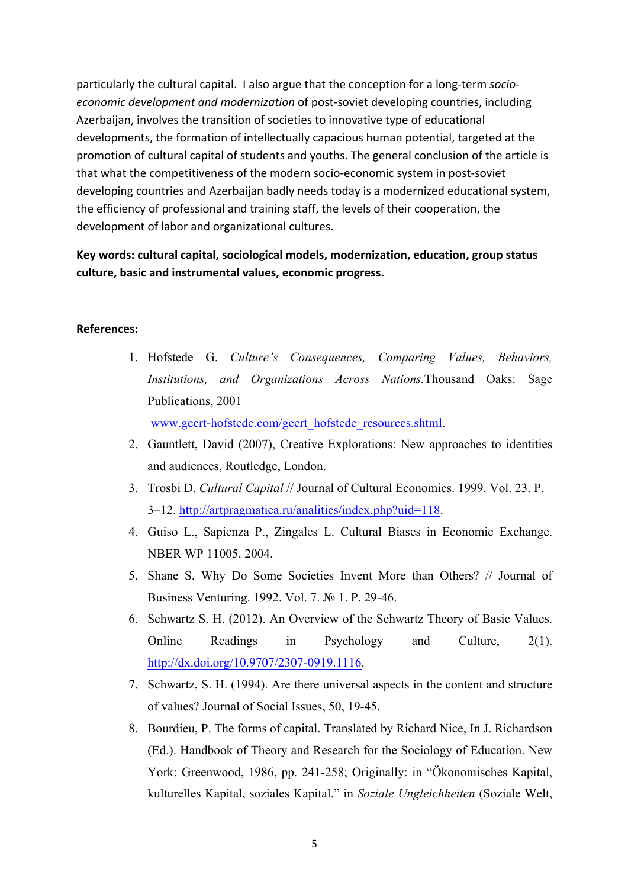particularly the cultural capital. I also argue that the conception for a long-term *socioeconomic development and modernization* of post-soviet developing countries, including Azerbaijan, involves the transition of societies to innovative type of educational developments, the formation of intellectually capacious human potential, targeted at the promotion of cultural capital of students and youths. The general conclusion of the article is that what the competitiveness of the modern socio-economic system in post-soviet developing countries and Azerbaijan badly needs today is a modernized educational system, the efficiency of professional and training staff, the levels of their cooperation, the development of labor and organizational cultures.

Key words: cultural capital, sociological models, modernization, education, group status culture, basic and instrumental values, economic progress.

### **References:**

1. Hofstede G. *Culture's Consequences, Comparing Values, Behaviors, Institutions, and Organizations Across Nations.*Thousand Oaks: Sage Publications, 2001

www.geert-hofstede.com/geert\_hofstede\_resources.shtml.

- 2. Gauntlett, David (2007), Creative Explorations: New approaches to identities and audiences, Routledge, London.
- 3. Trosbi D. *Cultural Capital* // Journal of Cultural Economics. 1999. Vol. 23. P. 3–12. http://artpragmatica.ru/analitics/index.php?uid=118.
- 4. Guiso L., Sapienza P., Zingales L. Cultural Biases in Economic Exchange. NBER WP 11005. 2004.
- 5. Shane S. Why Do Some Societies Invent More than Others? // Journal of Business Venturing. 1992. Vol. 7. № 1. P. 29-46.
- 6. Schwartz S. H. (2012). An Overview of the Schwartz Theory of Basic Values. Online Readings in Psychology and Culture, 2(1). http://dx.doi.org/10.9707/2307-0919.1116.
- 7. Schwartz, S. H. (1994). Are there universal aspects in the content and structure of values? Journal of Social Issues, 50, 19-45.
- 8. Bourdieu, P. The forms of capital. Translated by Richard Nice, In J. Richardson (Ed.). Handbook of Theory and Research for the Sociology of Education. New York: Greenwood, 1986, pp. 241-258; Originally: in "Ökonomisches Kapital, kulturelles Kapital, soziales Kapital." in *Soziale Ungleichheiten* (Soziale Welt,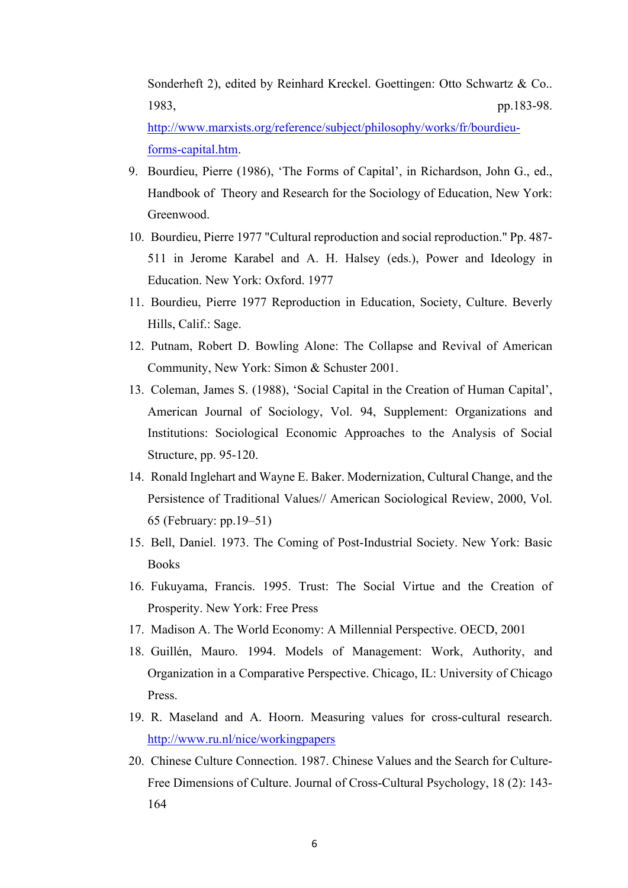Sonderheft 2), edited by Reinhard Kreckel. Goettingen: Otto Schwartz & Co.. 1983, pp.183-98.

http://www.marxists.org/reference/subject/philosophy/works/fr/bourdieuforms-capital.htm.

- 9. Bourdieu, Pierre (1986), 'The Forms of Capital', in Richardson, John G., ed., Handbook of Theory and Research for the Sociology of Education, New York: Greenwood.
- 10. Bourdieu, Pierre 1977 "Cultural reproduction and social reproduction." Pp. 487- 511 in Jerome Karabel and A. H. Halsey (eds.), Power and Ideology in Education. New York: Oxford. 1977
- 11. Bourdieu, Pierre 1977 Reproduction in Education, Society, Culture. Beverly Hills, Calif.: Sage.
- 12. Putnam, Robert D. Bowling Alone: The Collapse and Revival of American Community, New York: Simon & Schuster 2001.
- 13. Coleman, James S. (1988), 'Social Capital in the Creation of Human Capital', American Journal of Sociology, Vol. 94, Supplement: Organizations and Institutions: Sociological Economic Approaches to the Analysis of Social Structure, pp. 95-120.
- 14. Ronald Inglehart and Wayne E. Baker. Modernization, Cultural Change, and the Persistence of Traditional Values// American Sociological Review, 2000, Vol. 65 (February: pp.19–51)
- 15. Bell, Daniel. 1973. The Coming of Post-Industrial Society. New York: Basic Books
- 16. Fukuyama, Francis. 1995. Trust: The Social Virtue and the Creation of Prosperity. New York: Free Press
- 17. Madison A. The World Economy: A Millennial Perspective. OECD, 2001
- 18. Guillén, Mauro. 1994. Models of Management: Work, Authority, and Organization in a Comparative Perspective. Chicago, IL: University of Chicago Press.
- 19. R. Maseland and A. Hoorn. Measuring values for cross-cultural research. http://www.ru.nl/nice/workingpapers
- 20. Chinese Culture Connection. 1987. Chinese Values and the Search for Culture-Free Dimensions of Culture. Journal of Cross-Cultural Psychology, 18 (2): 143- 164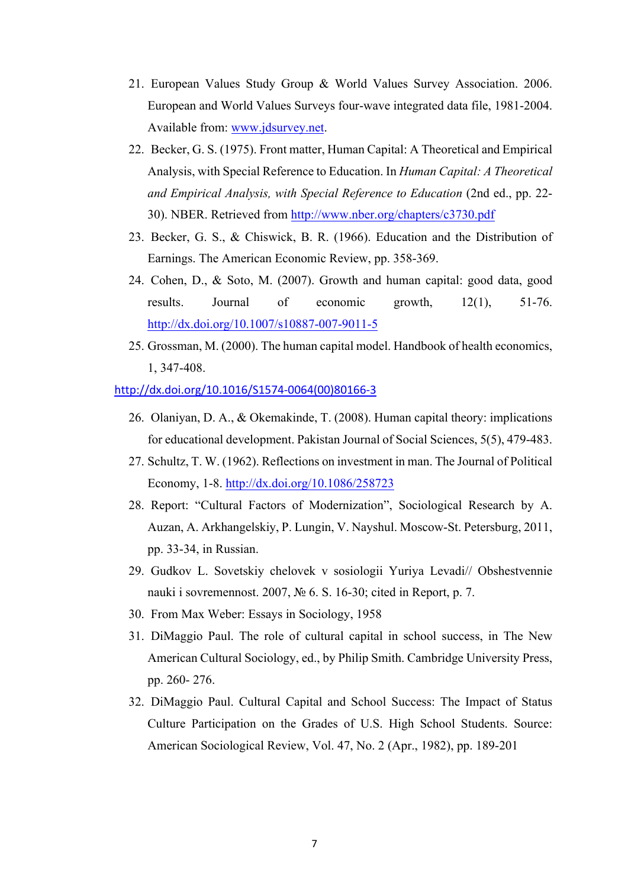- 21. European Values Study Group & World Values Survey Association. 2006. European and World Values Surveys four-wave integrated data file, 1981-2004. Available from: www.jdsurvey.net.
- 22. Becker, G. S. (1975). Front matter, Human Capital: A Theoretical and Empirical Analysis, with Special Reference to Education. In *Human Capital: A Theoretical and Empirical Analysis, with Special Reference to Education* (2nd ed., pp. 22- 30). NBER. Retrieved from http://www.nber.org/chapters/c3730.pdf
- 23. Becker, G. S., & Chiswick, B. R. (1966). Education and the Distribution of Earnings. The American Economic Review, pp. 358-369.
- 24. Cohen, D., & Soto, M. (2007). Growth and human capital: good data, good results. Journal of economic growth, 12(1), 51-76. http://dx.doi.org/10.1007/s10887-007-9011-5
- 25. Grossman, M. (2000). The human capital model. Handbook of health economics, 1, 347-408.

http://dx.doi.org/10.1016/S1574-0064(00)80166-3

- 26. Olaniyan, D. A., & Okemakinde, T. (2008). Human capital theory: implications for educational development. Pakistan Journal of Social Sciences, 5(5), 479-483.
- 27. Schultz, T. W. (1962). Reflections on investment in man. The Journal of Political Economy, 1-8. http://dx.doi.org/10.1086/258723
- 28. Report: "Cultural Factors of Modernization", Sociological Research by A. Auzan, A. Arkhangelskiy, P. Lungin, V. Nayshul. Moscow-St. Petersburg, 2011, pp. 33-34, in Russian.
- 29. Gudkov L. Sovetskiy chelovek v sosiologii Yuriya Levadi// Obshestvennie nauki i sovremennost. 2007, № 6. S. 16-30; cited in Report, p. 7.
- 30. From Max Weber: Essays in Sociology, 1958
- 31. DiMaggio Paul. The role of cultural capital in school success, in The New American Cultural Sociology, ed., by Philip Smith. Cambridge University Press, pp. 260- 276.
- 32. DiMaggio Paul. Cultural Capital and School Success: The Impact of Status Culture Participation on the Grades of U.S. High School Students. Source: American Sociological Review, Vol. 47, No. 2 (Apr., 1982), pp. 189-201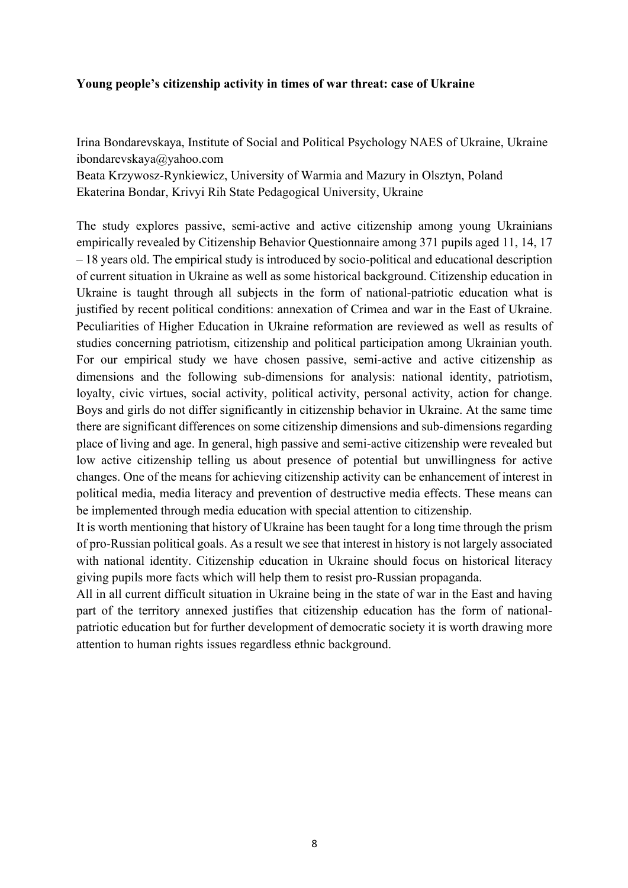## **Young people's citizenship activity in times of war threat: case of Ukraine**

Irina Bondarevskaya, Institute of Social and Political Psychology NAES of Ukraine, Ukraine ibondarevskaya@yahoo.com

Beata Krzywosz-Rynkiewicz, University of Warmia and Mazury in Olsztyn, Poland Ekaterina Bondar, Krivyi Rih State Pedagogical University, Ukraine

The study explores passive, semi-active and active citizenship among young Ukrainians empirically revealed by Citizenship Behavior Questionnaire among 371 pupils aged 11, 14, 17 – 18 years old. The empirical study is introduced by socio-political and educational description of current situation in Ukraine as well as some historical background. Citizenship education in Ukraine is taught through all subjects in the form of national-patriotic education what is justified by recent political conditions: annexation of Crimea and war in the East of Ukraine. Peculiarities of Higher Education in Ukraine reformation are reviewed as well as results of studies concerning patriotism, citizenship and political participation among Ukrainian youth. For our empirical study we have chosen passive, semi-active and active citizenship as dimensions and the following sub-dimensions for analysis: national identity, patriotism, loyalty, civic virtues, social activity, political activity, personal activity, action for change. Boys and girls do not differ significantly in citizenship behavior in Ukraine. At the same time there are significant differences on some citizenship dimensions and sub-dimensions regarding place of living and age. In general, high passive and semi-active citizenship were revealed but low active citizenship telling us about presence of potential but unwillingness for active changes. One of the means for achieving citizenship activity can be enhancement of interest in political media, media literacy and prevention of destructive media effects. These means can be implemented through media education with special attention to citizenship.

It is worth mentioning that history of Ukraine has been taught for a long time through the prism of pro-Russian political goals. As a result we see that interest in history is not largely associated with national identity. Citizenship education in Ukraine should focus on historical literacy giving pupils more facts which will help them to resist pro-Russian propaganda.

All in all current difficult situation in Ukraine being in the state of war in the East and having part of the territory annexed justifies that citizenship education has the form of nationalpatriotic education but for further development of democratic society it is worth drawing more attention to human rights issues regardless ethnic background.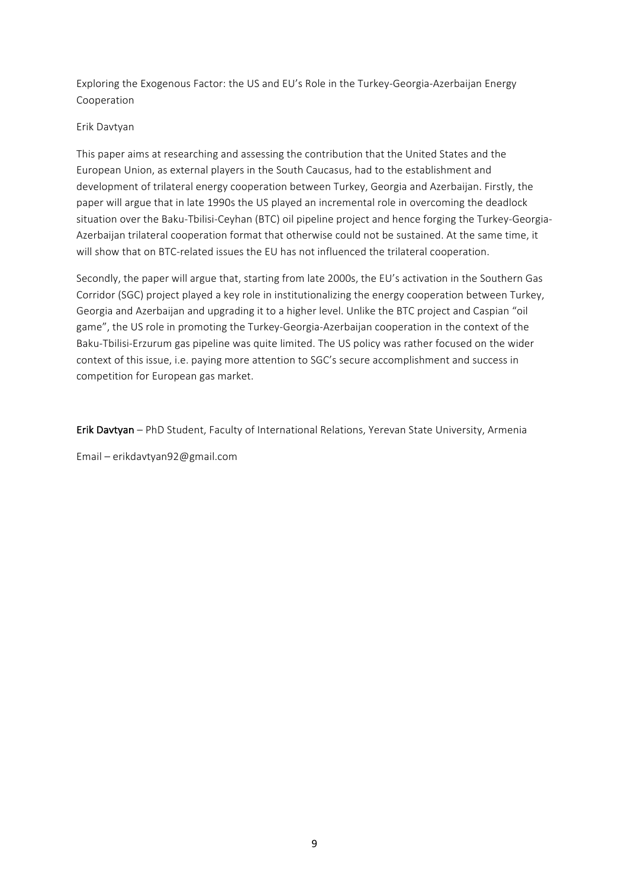Exploring the Exogenous Factor: the US and EU's Role in the Turkey-Georgia-Azerbaijan Energy Cooperation

### Erik Davtyan

This paper aims at researching and assessing the contribution that the United States and the European Union, as external players in the South Caucasus, had to the establishment and development of trilateral energy cooperation between Turkey, Georgia and Azerbaijan. Firstly, the paper will argue that in late 1990s the US played an incremental role in overcoming the deadlock situation over the Baku-Tbilisi-Ceyhan (BTC) oil pipeline project and hence forging the Turkey-Georgia-Azerbaijan trilateral cooperation format that otherwise could not be sustained. At the same time, it will show that on BTC-related issues the EU has not influenced the trilateral cooperation.

Secondly, the paper will argue that, starting from late 2000s, the EU's activation in the Southern Gas Corridor (SGC) project played a key role in institutionalizing the energy cooperation between Turkey, Georgia and Azerbaijan and upgrading it to a higher level. Unlike the BTC project and Caspian "oil game", the US role in promoting the Turkey-Georgia-Azerbaijan cooperation in the context of the Baku-Tbilisi-Erzurum gas pipeline was quite limited. The US policy was rather focused on the wider context of this issue, i.e. paying more attention to SGC's secure accomplishment and success in competition for European gas market.

Erik Davtyan – PhD Student, Faculty of International Relations, Yerevan State University, Armenia

Email – erikdavtyan92@gmail.com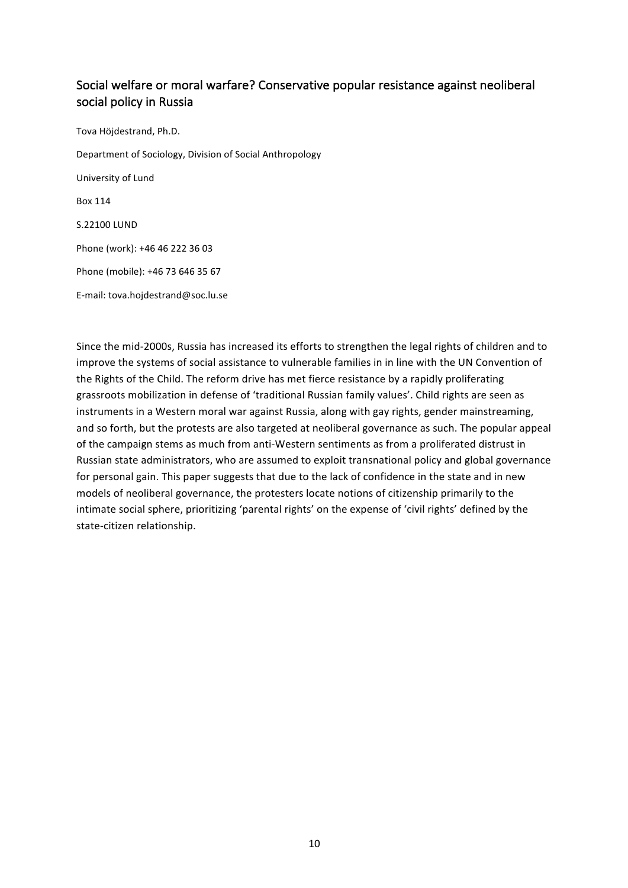# Social welfare or moral warfare? Conservative popular resistance against neoliberal social policy in Russia

Tova Höjdestrand, Ph.D. Department of Sociology, Division of Social Anthropology University of Lund Box 114 S.22100 LUND Phone (work): +46 46 222 36 03 Phone (mobile): +46 73 646 35 67 E-mail: tova.hojdestrand@soc.lu.se

Since the mid-2000s, Russia has increased its efforts to strengthen the legal rights of children and to improve the systems of social assistance to vulnerable families in in line with the UN Convention of the Rights of the Child. The reform drive has met fierce resistance by a rapidly proliferating grassroots mobilization in defense of 'traditional Russian family values'. Child rights are seen as instruments in a Western moral war against Russia, along with gay rights, gender mainstreaming, and so forth, but the protests are also targeted at neoliberal governance as such. The popular appeal of the campaign stems as much from anti-Western sentiments as from a proliferated distrust in Russian state administrators, who are assumed to exploit transnational policy and global governance for personal gain. This paper suggests that due to the lack of confidence in the state and in new models of neoliberal governance, the protesters locate notions of citizenship primarily to the intimate social sphere, prioritizing 'parental rights' on the expense of 'civil rights' defined by the state-citizen relationship.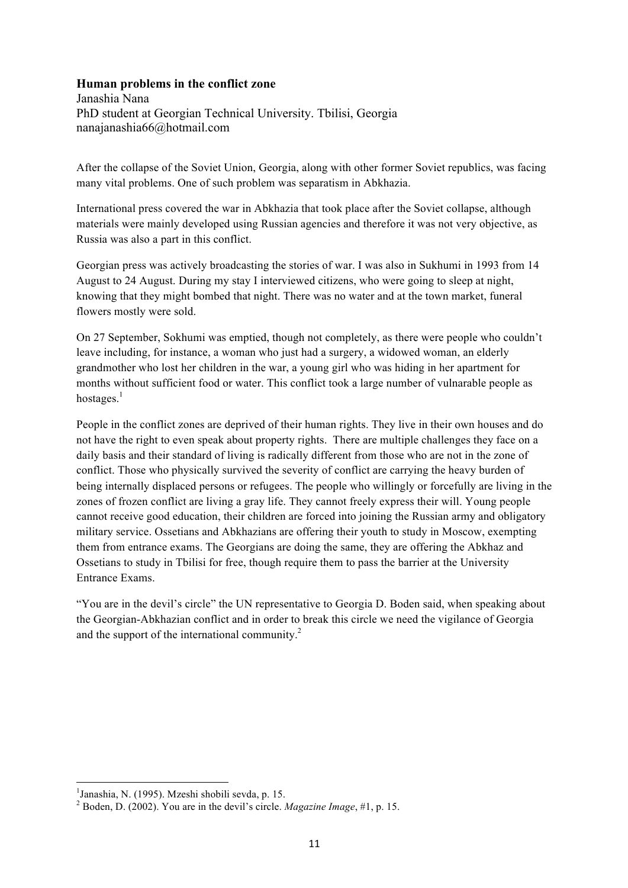## **Human problems in the conflict zone**

Janashia Nana PhD student at Georgian Technical University. Tbilisi, Georgia nanajanashia66@hotmail.com

After the collapse of the Soviet Union, Georgia, along with other former Soviet republics, was facing many vital problems. One of such problem was separatism in Abkhazia.

International press covered the war in Abkhazia that took place after the Soviet collapse, although materials were mainly developed using Russian agencies and therefore it was not very objective, as Russia was also a part in this conflict.

Georgian press was actively broadcasting the stories of war. I was also in Sukhumi in 1993 from 14 August to 24 August. During my stay I interviewed citizens, who were going to sleep at night, knowing that they might bombed that night. There was no water and at the town market, funeral flowers mostly were sold.

On 27 September, Sokhumi was emptied, though not completely, as there were people who couldn't leave including, for instance, a woman who just had a surgery, a widowed woman, an elderly grandmother who lost her children in the war, a young girl who was hiding in her apartment for months without sufficient food or water. This conflict took a large number of vulnarable people as hostages. $<sup>1</sup>$ </sup>

People in the conflict zones are deprived of their human rights. They live in their own houses and do not have the right to even speak about property rights. There are multiple challenges they face on a daily basis and their standard of living is radically different from those who are not in the zone of conflict. Those who physically survived the severity of conflict are carrying the heavy burden of being internally displaced persons or refugees. The people who willingly or forcefully are living in the zones of frozen conflict are living a gray life. They cannot freely express their will. Young people cannot receive good education, their children are forced into joining the Russian army and obligatory military service. Ossetians and Abkhazians are offering their youth to study in Moscow, exempting them from entrance exams. The Georgians are doing the same, they are offering the Abkhaz and Ossetians to study in Tbilisi for free, though require them to pass the barrier at the University Entrance Exams.

"You are in the devil's circle" the UN representative to Georgia D. Boden said, when speaking about the Georgian-Abkhazian conflict and in order to break this circle we need the vigilance of Georgia and the support of the international community.<sup>2</sup>

<u> 1989 - Johann Barn, mars ann an t-Amhain an t-Amhain an t-Amhain an t-Amhain an t-Amhain an t-Amhain an t-Amh</u>

<sup>&</sup>lt;sup>1</sup>Janashia, N. (1995). Mzeshi shobili sevda, p. 15.

<sup>2</sup> Boden, D. (2002). You are in the devil's circle. *Magazine Image*, #1, p. 15.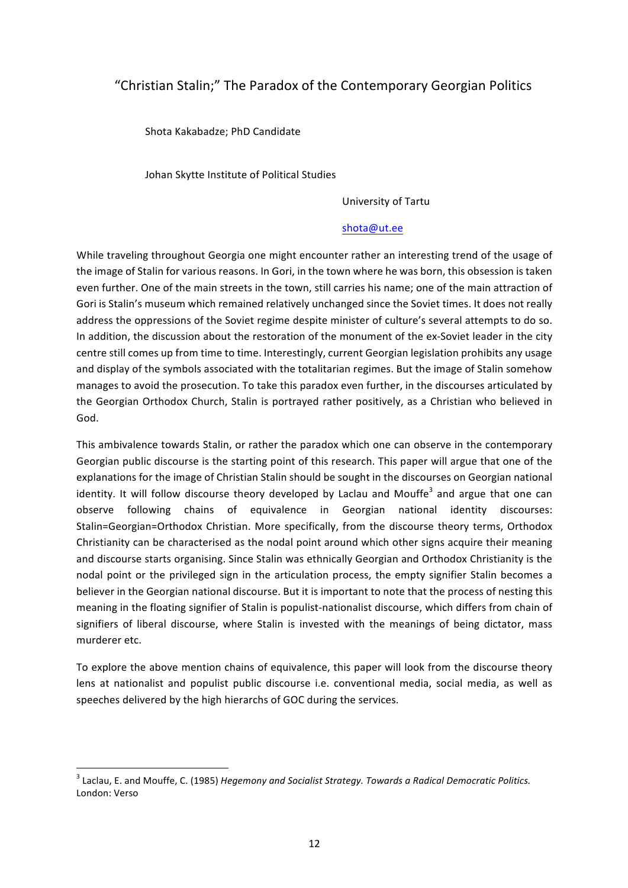# "Christian Stalin;" The Paradox of the Contemporary Georgian Politics

Shota Kakabadze; PhD Candidate

Johan Skytte Institute of Political Studies

University of Tartu 

### shota@ut.ee

While traveling throughout Georgia one might encounter rather an interesting trend of the usage of the image of Stalin for various reasons. In Gori, in the town where he was born, this obsession is taken even further. One of the main streets in the town, still carries his name; one of the main attraction of Gori is Stalin's museum which remained relatively unchanged since the Soviet times. It does not really address the oppressions of the Soviet regime despite minister of culture's several attempts to do so. In addition, the discussion about the restoration of the monument of the ex-Soviet leader in the city centre still comes up from time to time. Interestingly, current Georgian legislation prohibits any usage and display of the symbols associated with the totalitarian regimes. But the image of Stalin somehow manages to avoid the prosecution. To take this paradox even further, in the discourses articulated by the Georgian Orthodox Church, Stalin is portrayed rather positively, as a Christian who believed in God. 

This ambivalence towards Stalin, or rather the paradox which one can observe in the contemporary Georgian public discourse is the starting point of this research. This paper will argue that one of the explanations for the image of Christian Stalin should be sought in the discourses on Georgian national identity. It will follow discourse theory developed by Laclau and Mouffe<sup>3</sup> and argue that one can observe following chains of equivalence in Georgian national identity discourses: Stalin=Georgian=Orthodox Christian. More specifically, from the discourse theory terms, Orthodox Christianity can be characterised as the nodal point around which other signs acquire their meaning and discourse starts organising. Since Stalin was ethnically Georgian and Orthodox Christianity is the nodal point or the privileged sign in the articulation process, the empty signifier Stalin becomes a believer in the Georgian national discourse. But it is important to note that the process of nesting this meaning in the floating signifier of Stalin is populist-nationalist discourse, which differs from chain of signifiers of liberal discourse, where Stalin is invested with the meanings of being dictator, mass murderer etc.

To explore the above mention chains of equivalence, this paper will look from the discourse theory lens at nationalist and populist public discourse i.e. conventional media, social media, as well as speeches delivered by the high hierarchs of GOC during the services.

<u> 1989 - Johann Barn, mars ann an t-Amhain an t-Amhain an t-Amhain an t-Amhain an t-Amhain an t-Amhain an t-Amh</u>

<sup>&</sup>lt;sup>3</sup> Laclau, E. and Mouffe, C. (1985) *Hegemony and Socialist Strategy. Towards a Radical Democratic Politics.* London: Verso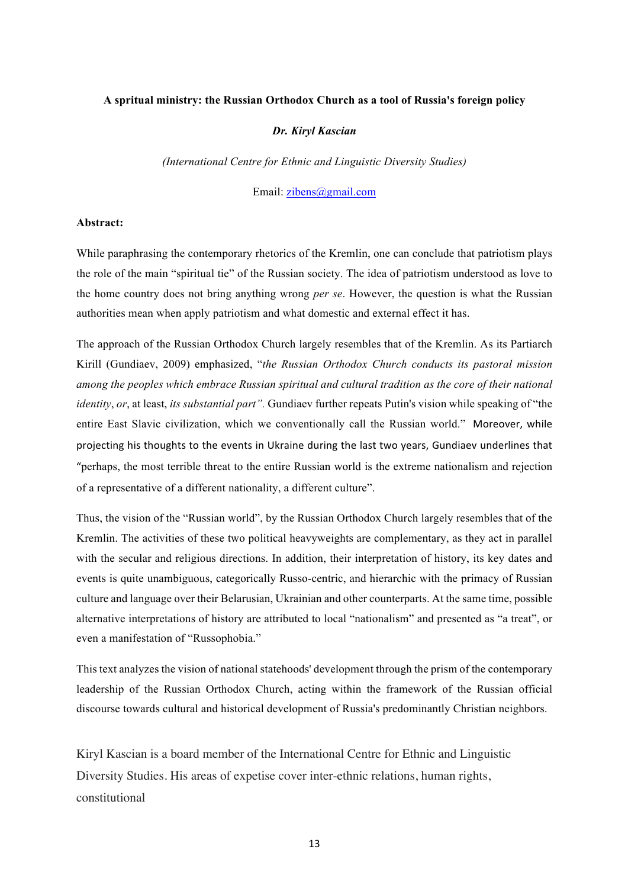### **A spritual ministry: the Russian Orthodox Church as a tool of Russia's foreign policy**

### *Dr. Kiryl Kascian*

*(International Centre for Ethnic and Linguistic Diversity Studies)*

Email: zibens@gmail.com

### **Abstract:**

While paraphrasing the contemporary rhetorics of the Kremlin, one can conclude that patriotism plays the role of the main "spiritual tie" of the Russian society. The idea of patriotism understood as love to the home country does not bring anything wrong *per se*. However, the question is what the Russian authorities mean when apply patriotism and what domestic and external effect it has.

The approach of the Russian Orthodox Church largely resembles that of the Kremlin. As its Partiarch Kirill (Gundiaev, 2009) emphasized, "*the Russian Orthodox Church conducts its pastoral mission among the peoples which embrace Russian spiritual and cultural tradition as the core of their national identity*, *or*, at least, *its substantial part".* Gundiaev further repeats Putin's vision while speaking of "the entire East Slavic civilization, which we conventionally call the Russian world." Moreover, while projecting his thoughts to the events in Ukraine during the last two years, Gundiaev underlines that "perhaps, the most terrible threat to the entire Russian world is the extreme nationalism and rejection of a representative of a different nationality, a different culture".

Thus, the vision of the "Russian world", by the Russian Orthodox Church largely resembles that of the Kremlin. The activities of these two political heavyweights are complementary, as they act in parallel with the secular and religious directions. In addition, their interpretation of history, its key dates and events is quite unambiguous, categorically Russo-centric, and hierarchic with the primacy of Russian culture and language over their Belarusian, Ukrainian and other counterparts. At the same time, possible alternative interpretations of history are attributed to local "nationalism" and presented as "a treat", or even a manifestation of "Russophobia."

This text analyzes the vision of national statehoods' development through the prism of the contemporary leadership of the Russian Orthodox Church, acting within the framework of the Russian official discourse towards cultural and historical development of Russia's predominantly Christian neighbors.

Kiryl Kascian is a board member of the International Centre for Ethnic and Linguistic Diversity Studies. His areas of expetise cover inter-ethnic relations, human rights, constitutional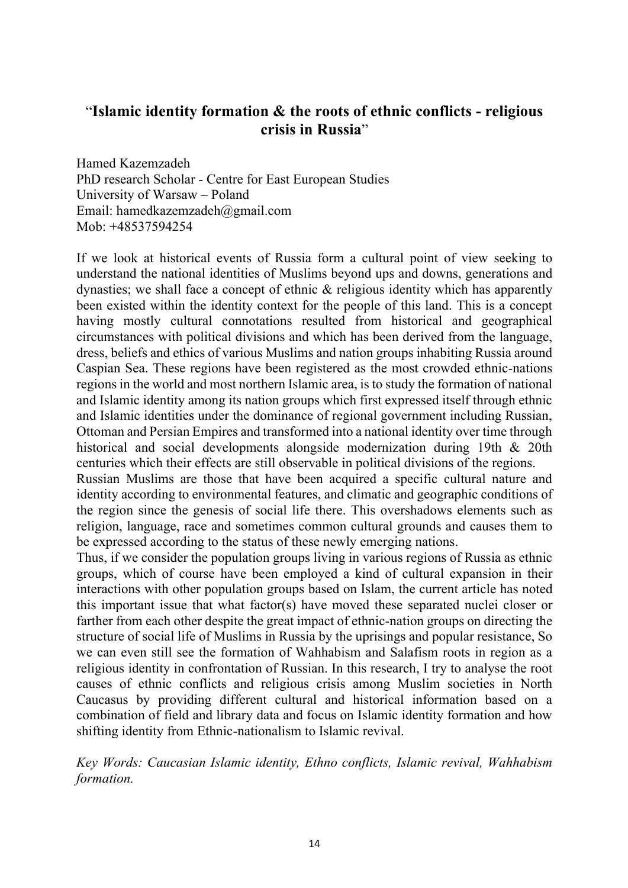# "**Islamic identity formation & the roots of ethnic conflicts - religious crisis in Russia**"

Hamed Kazemzadeh PhD research Scholar - Centre for East European Studies University of Warsaw – Poland Email: hamedkazemzadeh@gmail.com Mob: +48537594254

If we look at historical events of Russia form a cultural point of view seeking to understand the national identities of Muslims beyond ups and downs, generations and dynasties; we shall face a concept of ethnic & religious identity which has apparently been existed within the identity context for the people of this land. This is a concept having mostly cultural connotations resulted from historical and geographical circumstances with political divisions and which has been derived from the language, dress, beliefs and ethics of various Muslims and nation groups inhabiting Russia around Caspian Sea. These regions have been registered as the most crowded ethnic-nations regions in the world and most northern Islamic area, is to study the formation of national and Islamic identity among its nation groups which first expressed itself through ethnic and Islamic identities under the dominance of regional government including Russian, Ottoman and Persian Empires and transformed into a national identity over time through historical and social developments alongside modernization during 19th & 20th centuries which their effects are still observable in political divisions of the regions. Russian Muslims are those that have been acquired a specific cultural nature and

identity according to environmental features, and climatic and geographic conditions of the region since the genesis of social life there. This overshadows elements such as religion, language, race and sometimes common cultural grounds and causes them to be expressed according to the status of these newly emerging nations.

Thus, if we consider the population groups living in various regions of Russia as ethnic groups, which of course have been employed a kind of cultural expansion in their interactions with other population groups based on Islam, the current article has noted this important issue that what factor(s) have moved these separated nuclei closer or farther from each other despite the great impact of ethnic-nation groups on directing the structure of social life of Muslims in Russia by the uprisings and popular resistance, So we can even still see the formation of Wahhabism and Salafism roots in region as a religious identity in confrontation of Russian. In this research, I try to analyse the root causes of ethnic conflicts and religious crisis among Muslim societies in North Caucasus by providing different cultural and historical information based on a combination of field and library data and focus on Islamic identity formation and how shifting identity from Ethnic-nationalism to Islamic revival.

*Key Words: Caucasian Islamic identity, Ethno conflicts, Islamic revival, Wahhabism formation.*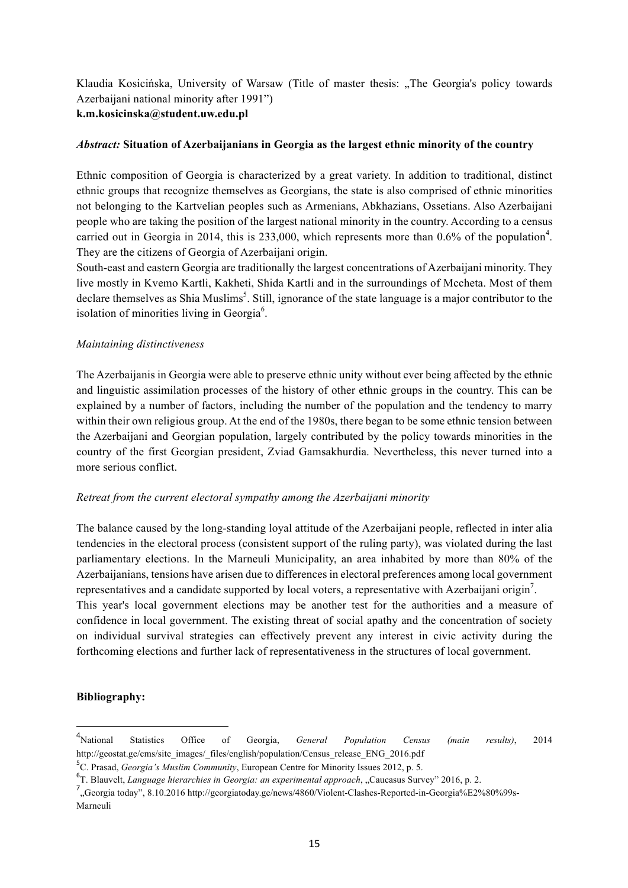Klaudia Kosicińska, University of Warsaw (Title of master thesis: "The Georgia's policy towards Azerbaijani national minority after 1991") **k.m.kosicinska@student.uw.edu.pl**

### *Abstract:* **Situation of Azerbaijanians in Georgia as the largest ethnic minority of the country**

Ethnic composition of Georgia is characterized by a great variety. In addition to traditional, distinct ethnic groups that recognize themselves as Georgians, the state is also comprised of ethnic minorities not belonging to the Kartvelian peoples such as Armenians, Abkhazians, Ossetians. Also Azerbaijani people who are taking the position of the largest national minority in the country. According to a census carried out in Georgia in 2014, this is 233,000, which represents more than  $0.6\%$  of the population<sup>4</sup>. They are the citizens of Georgia of Azerbaijani origin.

South-east and eastern Georgia are traditionally the largest concentrations of Azerbaijani minority. They live mostly in Kvemo Kartli, Kakheti, Shida Kartli and in the surroundings of Mccheta. Most of them declare themselves as Shia Muslims<sup>5</sup>. Still, ignorance of the state language is a major contributor to the isolation of minorities living in Georgia $6$ .

### *Maintaining distinctiveness*

The Azerbaijanis in Georgia were able to preserve ethnic unity without ever being affected by the ethnic and linguistic assimilation processes of the history of other ethnic groups in the country. This can be explained by a number of factors, including the number of the population and the tendency to marry within their own religious group. At the end of the 1980s, there began to be some ethnic tension between the Azerbaijani and Georgian population, largely contributed by the policy towards minorities in the country of the first Georgian president, Zviad Gamsakhurdia. Nevertheless, this never turned into a more serious conflict.

## *Retreat from the current electoral sympathy among the Azerbaijani minority*

The balance caused by the long-standing loyal attitude of the Azerbaijani people, reflected in inter alia tendencies in the electoral process (consistent support of the ruling party), was violated during the last parliamentary elections. In the Marneuli Municipality, an area inhabited by more than 80% of the Azerbaijanians, tensions have arisen due to differences in electoral preferences among local government representatives and a candidate supported by local voters, a representative with Azerbaijani origin<sup>7</sup>. This year's local government elections may be another test for the authorities and a measure of confidence in local government. The existing threat of social apathy and the concentration of society on individual survival strategies can effectively prevent any interest in civic activity during the forthcoming elections and further lack of representativeness in the structures of local government.

## **Bibliography:**

<u> 1989 - Johann Stein, mars an de Brandenburg (b. 1989)</u>

<sup>&</sup>lt;sup>4</sup>National National Statistics Office of Georgia, *General Population Census (main results)*, 2014 http://geostat.ge/cms/site\_images/\_files/english/population/Census\_release\_ENG\_2016.pdf

<sup>5</sup> C. Prasad, *Georgia's Muslim Community*, European Centre for Minority Issues 2012, p. 5.

<sup>&</sup>lt;sup>6</sup>T. Blauvelt, *Language hierarchies in Georgia: an experimental approach*, "Caucasus Survey" 2016, p. 2.

<sup>7</sup> "Georgia today", 8.10.2016 http://georgiatoday.ge/news/4860/Violent-Clashes-Reported-in-Georgia%E2%80%99s-Marneuli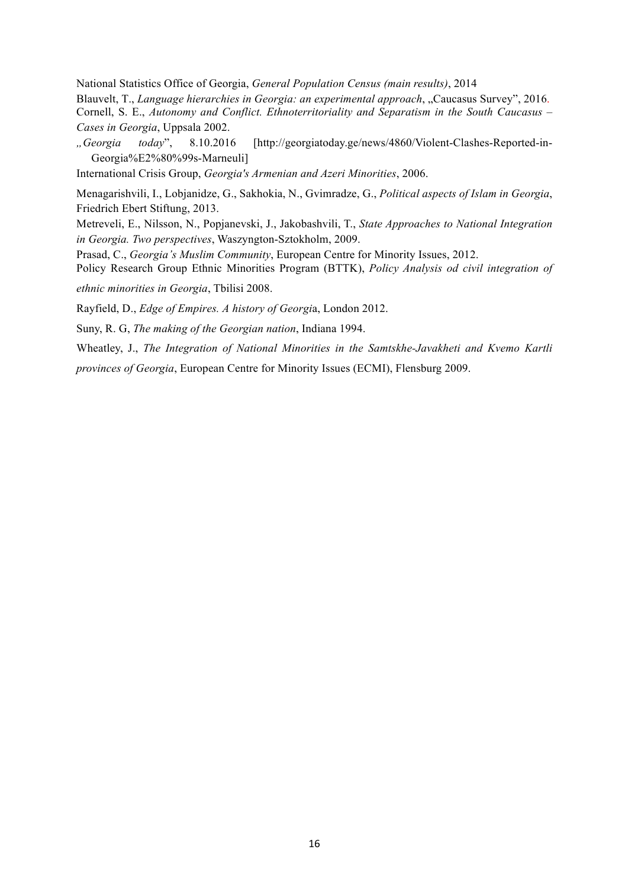National Statistics Office of Georgia, *General Population Census (main results)*, 2014

Blauvelt, T., *Language hierarchies in Georgia: an experimental approach*, "Caucasus Survey", 2016. Cornell, S. E., *Autonomy and Conflict. Ethnoterritoriality and Separatism in the South Caucasus – Cases in Georgia*, Uppsala 2002.

*"Georgia today*", 8.10.2016 [http://georgiatoday.ge/news/4860/Violent-Clashes-Reported-in-Georgia%E2%80%99s-Marneuli]

International Crisis Group, *Georgia's Armenian and Azeri Minorities*, 2006.

Menagarishvili, I., Lobjanidze, G., Sakhokia, N., Gvimradze, G., *Political aspects of Islam in Georgia*, Friedrich Ebert Stiftung, 2013.

Metreveli, E., Nilsson, N., Popjanevski, J., Jakobashvili, T., *State Approaches to National Integration in Georgia. Two perspectives*, Waszyngton-Sztokholm, 2009.

Prasad, C., *Georgia's Muslim Community*, European Centre for Minority Issues, 2012.

Policy Research Group Ethnic Minorities Program (BTTK), *Policy Analysis od civil integration of ethnic minorities in Georgia*, Tbilisi 2008.

Rayfield, D., *Edge of Empires. A history of Georgi*a, London 2012.

Suny, R. G, *The making of the Georgian nation*, Indiana 1994.

Wheatley, J., *The Integration of National Minorities in the Samtskhe-Javakheti and Kvemo Kartli* 

*provinces of Georgia*, European Centre for Minority Issues (ECMI), Flensburg 2009.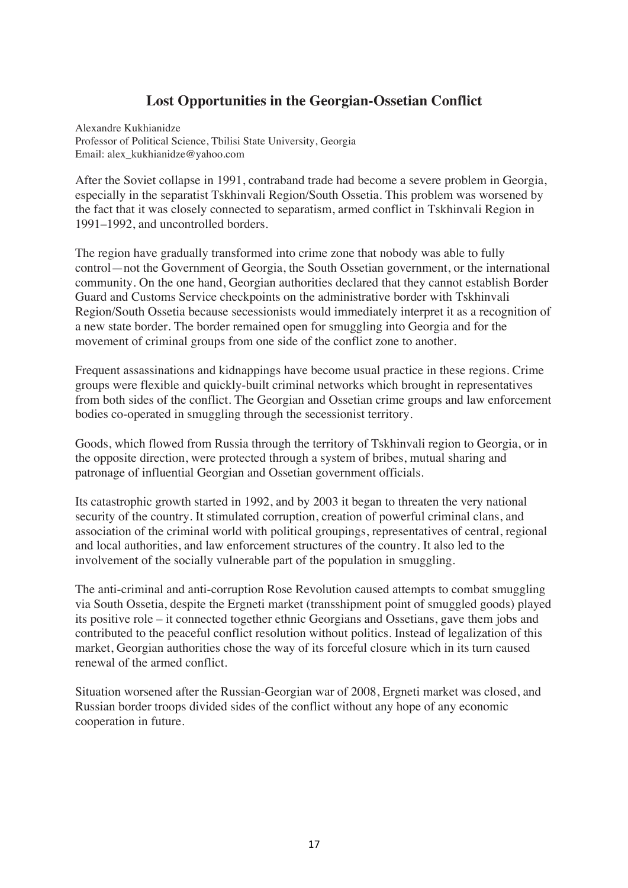# **Lost Opportunities in the Georgian-Ossetian Conflict**

Alexandre Kukhianidze Professor of Political Science, Tbilisi State University, Georgia Email: alex\_kukhianidze@yahoo.com

After the Soviet collapse in 1991, contraband trade had become a severe problem in Georgia, especially in the separatist Tskhinvali Region/South Ossetia. This problem was worsened by the fact that it was closely connected to separatism, armed conflict in Tskhinvali Region in 1991–1992, and uncontrolled borders.

The region have gradually transformed into crime zone that nobody was able to fully control—not the Government of Georgia, the South Ossetian government, or the international community. On the one hand, Georgian authorities declared that they cannot establish Border Guard and Customs Service checkpoints on the administrative border with Tskhinvali Region/South Ossetia because secessionists would immediately interpret it as a recognition of a new state border. The border remained open for smuggling into Georgia and for the movement of criminal groups from one side of the conflict zone to another.

Frequent assassinations and kidnappings have become usual practice in these regions. Crime groups were flexible and quickly-built criminal networks which brought in representatives from both sides of the conflict. The Georgian and Ossetian crime groups and law enforcement bodies co-operated in smuggling through the secessionist territory.

Goods, which flowed from Russia through the territory of Tskhinvali region to Georgia, or in the opposite direction, were protected through a system of bribes, mutual sharing and patronage of influential Georgian and Ossetian government officials.

Its catastrophic growth started in 1992, and by 2003 it began to threaten the very national security of the country. It stimulated corruption, creation of powerful criminal clans, and association of the criminal world with political groupings, representatives of central, regional and local authorities, and law enforcement structures of the country. It also led to the involvement of the socially vulnerable part of the population in smuggling.

The anti-criminal and anti-corruption Rose Revolution caused attempts to combat smuggling via South Ossetia, despite the Ergneti market (transshipment point of smuggled goods) played its positive role – it connected together ethnic Georgians and Ossetians, gave them jobs and contributed to the peaceful conflict resolution without politics. Instead of legalization of this market, Georgian authorities chose the way of its forceful closure which in its turn caused renewal of the armed conflict.

Situation worsened after the Russian-Georgian war of 2008, Ergneti market was closed, and Russian border troops divided sides of the conflict without any hope of any economic cooperation in future.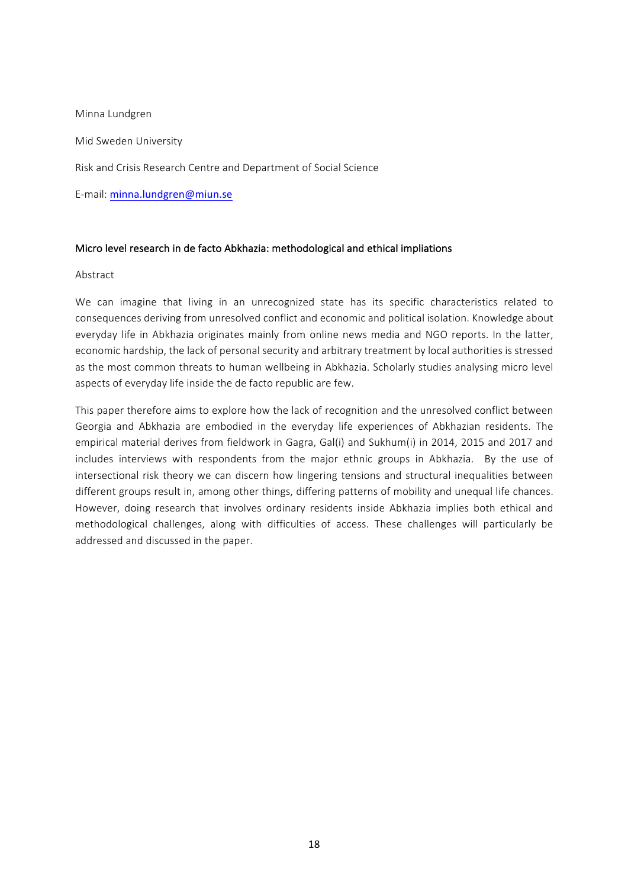Minna Lundgren Mid Sweden University Risk and Crisis Research Centre and Department of Social Science E-mail: minna.lundgren@miun.se

## Micro level research in de facto Abkhazia: methodological and ethical impliations

### Abstract

We can imagine that living in an unrecognized state has its specific characteristics related to consequences deriving from unresolved conflict and economic and political isolation. Knowledge about everyday life in Abkhazia originates mainly from online news media and NGO reports. In the latter, economic hardship, the lack of personal security and arbitrary treatment by local authorities is stressed as the most common threats to human wellbeing in Abkhazia. Scholarly studies analysing micro level aspects of everyday life inside the de facto republic are few.

This paper therefore aims to explore how the lack of recognition and the unresolved conflict between Georgia and Abkhazia are embodied in the everyday life experiences of Abkhazian residents. The empirical material derives from fieldwork in Gagra, Gal(i) and Sukhum(i) in 2014, 2015 and 2017 and includes interviews with respondents from the major ethnic groups in Abkhazia. By the use of intersectional risk theory we can discern how lingering tensions and structural inequalities between different groups result in, among other things, differing patterns of mobility and unequal life chances. However, doing research that involves ordinary residents inside Abkhazia implies both ethical and methodological challenges, along with difficulties of access. These challenges will particularly be addressed and discussed in the paper.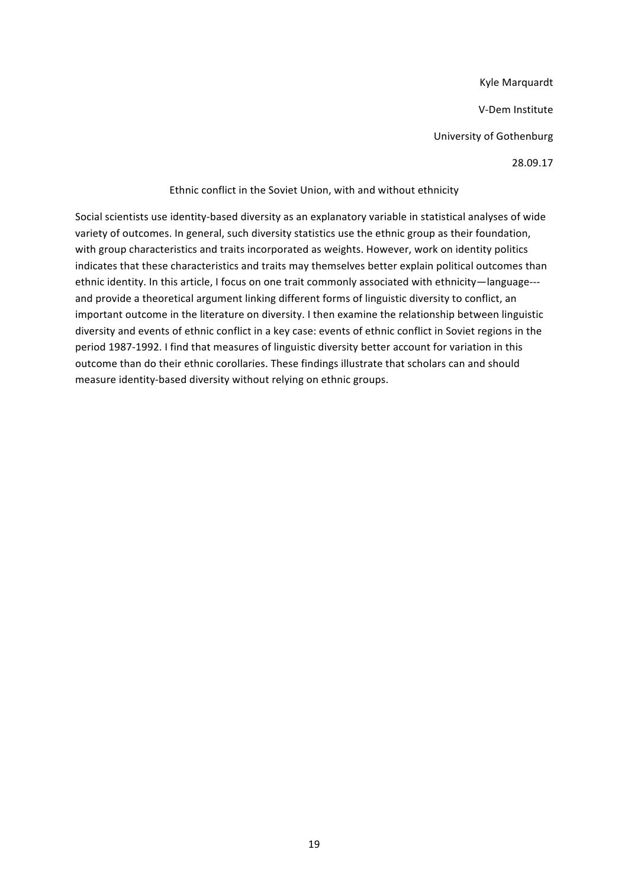Kyle Marquardt V-Dem Institute University of Gothenburg 28.09.17

### Ethnic conflict in the Soviet Union, with and without ethnicity

Social scientists use identity-based diversity as an explanatory variable in statistical analyses of wide variety of outcomes. In general, such diversity statistics use the ethnic group as their foundation, with group characteristics and traits incorporated as weights. However, work on identity politics indicates that these characteristics and traits may themselves better explain political outcomes than ethnic identity. In this article, I focus on one trait commonly associated with ethnicity—language--and provide a theoretical argument linking different forms of linguistic diversity to conflict, an important outcome in the literature on diversity. I then examine the relationship between linguistic diversity and events of ethnic conflict in a key case: events of ethnic conflict in Soviet regions in the period 1987-1992. I find that measures of linguistic diversity better account for variation in this outcome than do their ethnic corollaries. These findings illustrate that scholars can and should measure identity-based diversity without relying on ethnic groups.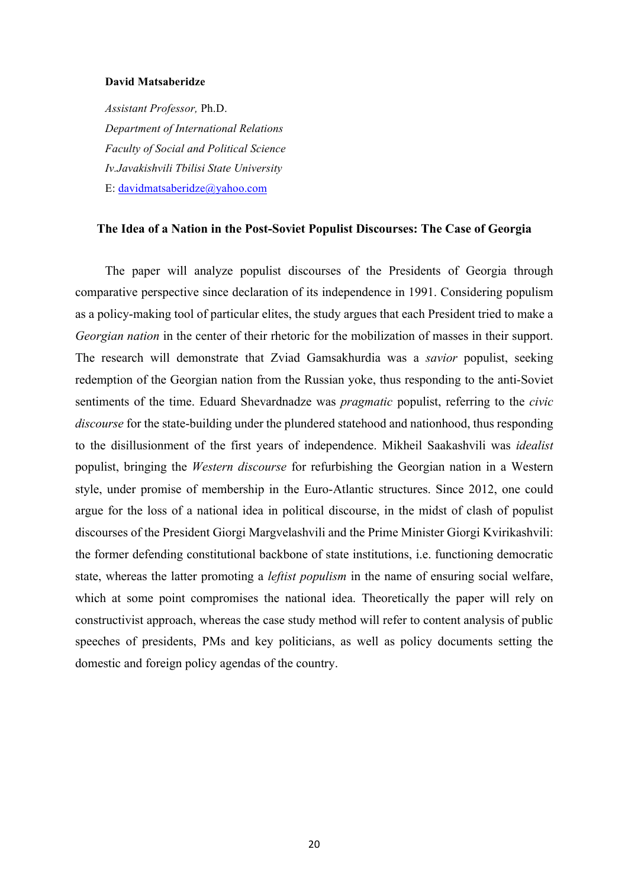### **David Matsaberidze**

*Assistant Professor,* Ph.D. *Department of International Relations Faculty of Social and Political Science Iv.Javakishvili Tbilisi State University* E: davidmatsaberidze@yahoo.com

### **The Idea of a Nation in the Post-Soviet Populist Discourses: The Case of Georgia**

The paper will analyze populist discourses of the Presidents of Georgia through comparative perspective since declaration of its independence in 1991. Considering populism as a policy-making tool of particular elites, the study argues that each President tried to make a *Georgian nation* in the center of their rhetoric for the mobilization of masses in their support. The research will demonstrate that Zviad Gamsakhurdia was a *savior* populist, seeking redemption of the Georgian nation from the Russian yoke, thus responding to the anti-Soviet sentiments of the time. Eduard Shevardnadze was *pragmatic* populist, referring to the *civic discourse* for the state-building under the plundered statehood and nationhood, thus responding to the disillusionment of the first years of independence. Mikheil Saakashvili was *idealist* populist, bringing the *Western discourse* for refurbishing the Georgian nation in a Western style, under promise of membership in the Euro-Atlantic structures. Since 2012, one could argue for the loss of a national idea in political discourse, in the midst of clash of populist discourses of the President Giorgi Margvelashvili and the Prime Minister Giorgi Kvirikashvili: the former defending constitutional backbone of state institutions, i.e. functioning democratic state, whereas the latter promoting a *leftist populism* in the name of ensuring social welfare, which at some point compromises the national idea. Theoretically the paper will rely on constructivist approach, whereas the case study method will refer to content analysis of public speeches of presidents, PMs and key politicians, as well as policy documents setting the domestic and foreign policy agendas of the country.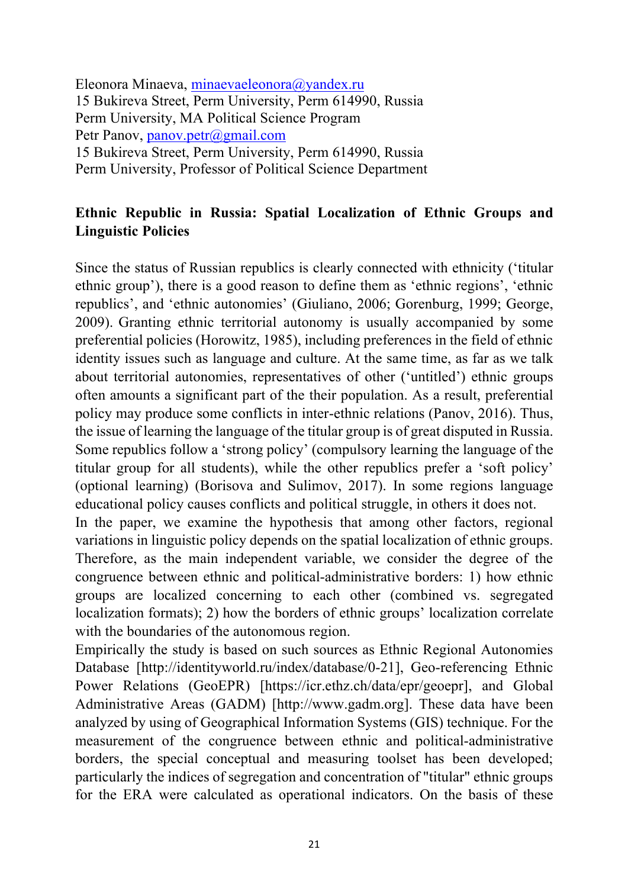Eleonora Minaeva, minaevaeleonora@yandex.ru 15 Bukireva Street, Perm University, Perm 614990, Russia Perm University, MA Political Science Program Petr Panov, panov.petr@gmail.com 15 Bukireva Street, Perm University, Perm 614990, Russia Perm University, Professor of Political Science Department

# **Ethnic Republic in Russia: Spatial Localization of Ethnic Groups and Linguistic Policies**

Since the status of Russian republics is clearly connected with ethnicity ('titular ethnic group'), there is a good reason to define them as 'ethnic regions', 'ethnic republics', and 'ethnic autonomies' (Giuliano, 2006; Gorenburg, 1999; George, 2009). Granting ethnic territorial autonomy is usually accompanied by some preferential policies (Horowitz, 1985), including preferences in the field of ethnic identity issues such as language and culture. At the same time, as far as we talk about territorial autonomies, representatives of other ('untitled') ethnic groups often amounts a significant part of the their population. As a result, preferential policy may produce some conflicts in inter-ethnic relations (Panov, 2016). Thus, the issue of learning the language of the titular group is of great disputed in Russia. Some republics follow a 'strong policy' (compulsory learning the language of the titular group for all students), while the other republics prefer a 'soft policy' (optional learning) (Borisova and Sulimov, 2017). In some regions language educational policy causes conflicts and political struggle, in others it does not.

In the paper, we examine the hypothesis that among other factors, regional variations in linguistic policy depends on the spatial localization of ethnic groups. Therefore, as the main independent variable, we consider the degree of the congruence between ethnic and political-administrative borders: 1) how ethnic groups are localized concerning to each other (combined vs. segregated localization formats); 2) how the borders of ethnic groups' localization correlate with the boundaries of the autonomous region.

Empirically the study is based on such sources as Ethnic Regional Autonomies Database [http://identityworld.ru/index/database/0-21], Geo-referencing Ethnic Power Relations (GeoEPR) [https://icr.ethz.ch/data/epr/geoepr], and Global Administrative Areas (GADM) [http://www.gadm.org]. These data have been analyzed by using of Geographical Information Systems (GIS) technique. For the measurement of the congruence between ethnic and political-administrative borders, the special conceptual and measuring toolset has been developed; particularly the indices of segregation and concentration of "titular" ethnic groups for the ERA were calculated as operational indicators. On the basis of these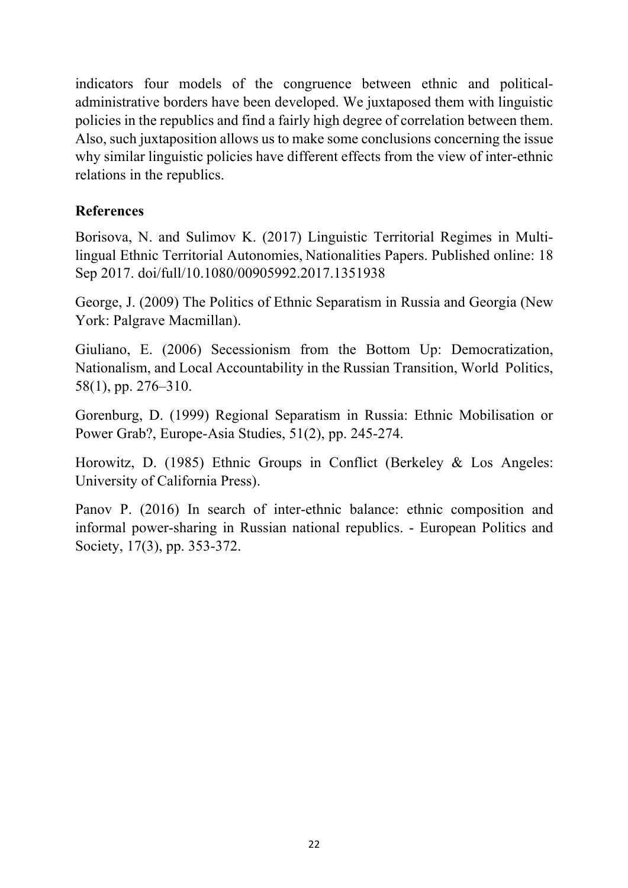indicators four models of the congruence between ethnic and politicaladministrative borders have been developed. We juxtaposed them with linguistic policies in the republics and find a fairly high degree of correlation between them. Also, such juxtaposition allows us to make some conclusions concerning the issue why similar linguistic policies have different effects from the view of inter-ethnic relations in the republics.

# **References**

Borisova, N. and Sulimov K. (2017) Linguistic Territorial Regimes in Multilingual Ethnic Territorial Autonomies, Nationalities Papers. Published online: 18 Sep 2017. doi/full/10.1080/00905992.2017.1351938

George, J. (2009) The Politics of Ethnic Separatism in Russia and Georgia (New York: Palgrave Macmillan).

Giuliano, E. (2006) Secessionism from the Bottom Up: Democratization, Nationalism, and Local Accountability in the Russian Transition, World Politics, 58(1), pp. 276–310.

Gorenburg, D. (1999) Regional Separatism in Russia: Ethnic Mobilisation or Power Grab?, Europe-Asia Studies, 51(2), pp. 245-274.

Horowitz, D. (1985) Ethnic Groups in Conflict (Berkeley & Los Angeles: University of California Press).

Panov P. (2016) In search of inter-ethnic balance: ethnic composition and informal power-sharing in Russian national republics. - European Politics and Society, 17(3), pp. 353-372.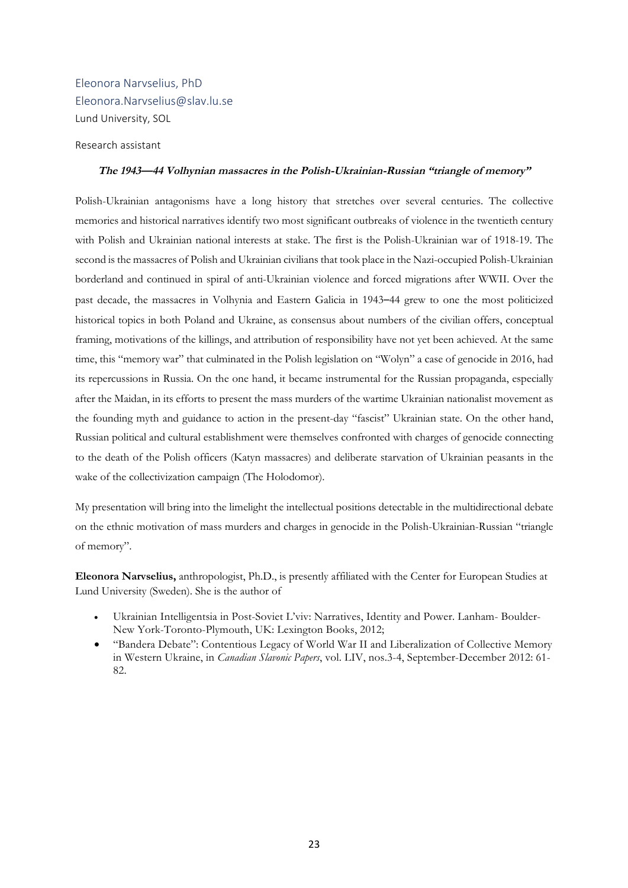# Eleonora Narvselius, PhD Eleonora.Narvselius@slav.lu.se Lund University, SOL

#### Research assistant

#### **The 1943—44 Volhynian massacres in the Polish-Ukrainian-Russian "triangle of memory"**

Polish-Ukrainian antagonisms have a long history that stretches over several centuries. The collective memories and historical narratives identify two most significant outbreaks of violence in the twentieth century with Polish and Ukrainian national interests at stake. The first is the Polish-Ukrainian war of 1918-19. The second is the massacres of Polish and Ukrainian civilians that took place in the Nazi-occupied Polish-Ukrainian borderland and continued in spiral of anti-Ukrainian violence and forced migrations after WWII. Over the past decade, the massacres in Volhynia and Eastern Galicia in 1943*–*44 grew to one the most politicized historical topics in both Poland and Ukraine, as consensus about numbers of the civilian offers, conceptual framing, motivations of the killings, and attribution of responsibility have not yet been achieved. At the same time, this "memory war" that culminated in the Polish legislation on "Wolyn" a case of genocide in 2016, had its repercussions in Russia. On the one hand, it became instrumental for the Russian propaganda, especially after the Maidan, in its efforts to present the mass murders of the wartime Ukrainian nationalist movement as the founding myth and guidance to action in the present-day "fascist" Ukrainian state. On the other hand, Russian political and cultural establishment were themselves confronted with charges of genocide connecting to the death of the Polish officers (Katyn massacres) and deliberate starvation of Ukrainian peasants in the wake of the collectivization campaign (The Holodomor).

My presentation will bring into the limelight the intellectual positions detectable in the multidirectional debate on the ethnic motivation of mass murders and charges in genocide in the Polish-Ukrainian-Russian "triangle of memory".

**Eleonora Narvselius,** anthropologist, Ph.D., is presently affiliated with the Center for European Studies at Lund University (Sweden). She is the author of

- Ukrainian Intelligentsia in Post-Soviet L'viv: Narratives, Identity and Power. Lanham- Boulder-New York-Toronto-Plymouth, UK: Lexington Books, 2012;
- "Bandera Debate": Contentious Legacy of World War II and Liberalization of Collective Memory in Western Ukraine, in *Canadian Slavonic Papers*, vol. LIV, nos.3-4, September-December 2012: 61- 82.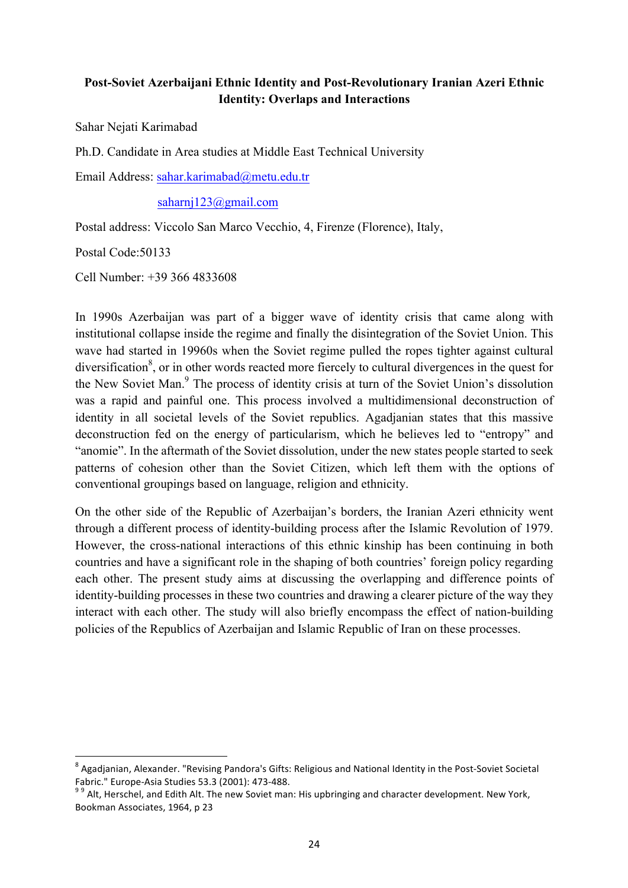## **Post-Soviet Azerbaijani Ethnic Identity and Post-Revolutionary Iranian Azeri Ethnic Identity: Overlaps and Interactions**

Sahar Nejati Karimabad

Ph.D. Candidate in Area studies at Middle East Technical University

Email Address: sahar.karimabad@metu.edu.tr

saharnj123@gmail.com

Postal address: Viccolo San Marco Vecchio, 4, Firenze (Florence), Italy,

Postal Code:50133

Cell Number: +39 366 4833608

<u> Andrew Maria (1989)</u>

In 1990s Azerbaijan was part of a bigger wave of identity crisis that came along with institutional collapse inside the regime and finally the disintegration of the Soviet Union. This wave had started in 19960s when the Soviet regime pulled the ropes tighter against cultural diversification<sup>8</sup>, or in other words reacted more fiercely to cultural divergences in the quest for the New Soviet Man.<sup>9</sup> The process of identity crisis at turn of the Soviet Union's dissolution was a rapid and painful one. This process involved a multidimensional deconstruction of identity in all societal levels of the Soviet republics. Agadjanian states that this massive deconstruction fed on the energy of particularism, which he believes led to "entropy" and "anomie". In the aftermath of the Soviet dissolution, under the new states people started to seek patterns of cohesion other than the Soviet Citizen, which left them with the options of conventional groupings based on language, religion and ethnicity.

On the other side of the Republic of Azerbaijan's borders, the Iranian Azeri ethnicity went through a different process of identity-building process after the Islamic Revolution of 1979. However, the cross-national interactions of this ethnic kinship has been continuing in both countries and have a significant role in the shaping of both countries' foreign policy regarding each other. The present study aims at discussing the overlapping and difference points of identity-building processes in these two countries and drawing a clearer picture of the way they interact with each other. The study will also briefly encompass the effect of nation-building policies of the Republics of Azerbaijan and Islamic Republic of Iran on these processes.

 $8$  Agadjanian, Alexander. "Revising Pandora's Gifts: Religious and National Identity in the Post-Soviet Societal Fabric." Europe-Asia Studies 53.3 (2001): 473-488.<br><sup>9 9</sup> Alt, Herschel, and Edith Alt. The new Soviet man: His upbringing and character development. New York,

Bookman Associates, 1964, p 23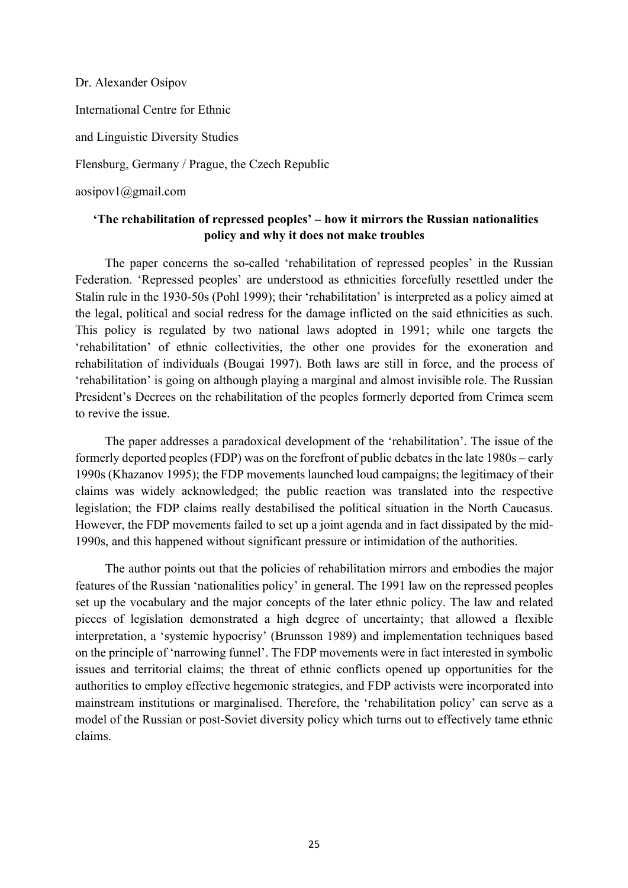Dr. Alexander Osipov

International Centre for Ethnic

and Linguistic Diversity Studies

Flensburg, Germany / Prague, the Czech Republic

aosipov1@gmail.com

## **'The rehabilitation of repressed peoples' – how it mirrors the Russian nationalities policy and why it does not make troubles**

The paper concerns the so-called 'rehabilitation of repressed peoples' in the Russian Federation. 'Repressed peoples' are understood as ethnicities forcefully resettled under the Stalin rule in the 1930-50s (Pohl 1999); their 'rehabilitation' is interpreted as a policy aimed at the legal, political and social redress for the damage inflicted on the said ethnicities as such. This policy is regulated by two national laws adopted in 1991; while one targets the 'rehabilitation' of ethnic collectivities, the other one provides for the exoneration and rehabilitation of individuals (Bougai 1997). Both laws are still in force, and the process of 'rehabilitation' is going on although playing a marginal and almost invisible role. The Russian President's Decrees on the rehabilitation of the peoples formerly deported from Crimea seem to revive the issue.

The paper addresses a paradoxical development of the 'rehabilitation'. The issue of the formerly deported peoples (FDP) was on the forefront of public debates in the late 1980s – early 1990s (Khazanov 1995); the FDP movements launched loud campaigns; the legitimacy of their claims was widely acknowledged; the public reaction was translated into the respective legislation; the FDP claims really destabilised the political situation in the North Caucasus. However, the FDP movements failed to set up a joint agenda and in fact dissipated by the mid-1990s, and this happened without significant pressure or intimidation of the authorities.

The author points out that the policies of rehabilitation mirrors and embodies the major features of the Russian 'nationalities policy' in general. The 1991 law on the repressed peoples set up the vocabulary and the major concepts of the later ethnic policy. The law and related pieces of legislation demonstrated a high degree of uncertainty; that allowed a flexible interpretation, a 'systemic hypocrisy' (Brunsson 1989) and implementation techniques based on the principle of 'narrowing funnel'. The FDP movements were in fact interested in symbolic issues and territorial claims; the threat of ethnic conflicts opened up opportunities for the authorities to employ effective hegemonic strategies, and FDP activists were incorporated into mainstream institutions or marginalised. Therefore, the 'rehabilitation policy' can serve as a model of the Russian or post-Soviet diversity policy which turns out to effectively tame ethnic claims.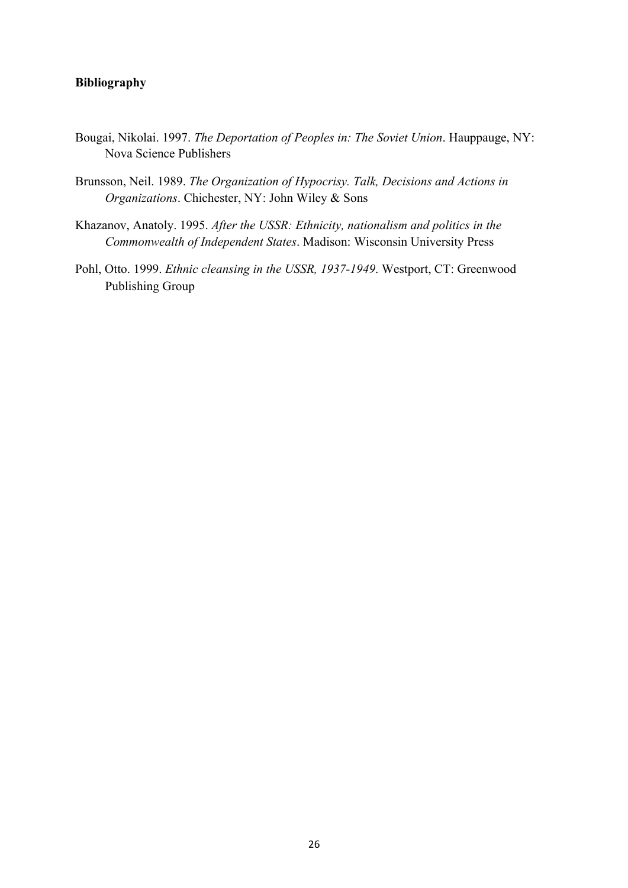## **Bibliography**

- Bougai, Nikolai. 1997. *The Deportation of Peoples in: The Soviet Union*. Hauppauge, NY: Nova Science Publishers
- Brunsson, Neil. 1989. *The Organization of Hypocrisy. Talk, Decisions and Actions in Organizations*. Chichester, NY: John Wiley & Sons
- Khazanov, Anatoly. 1995. *After the USSR: Ethnicity, nationalism and politics in the Commonwealth of Independent States*. Madison: Wisconsin University Press
- Pohl, Otto. 1999. *Ethnic cleansing in the USSR, 1937-1949*. Westport, CT: Greenwood Publishing Group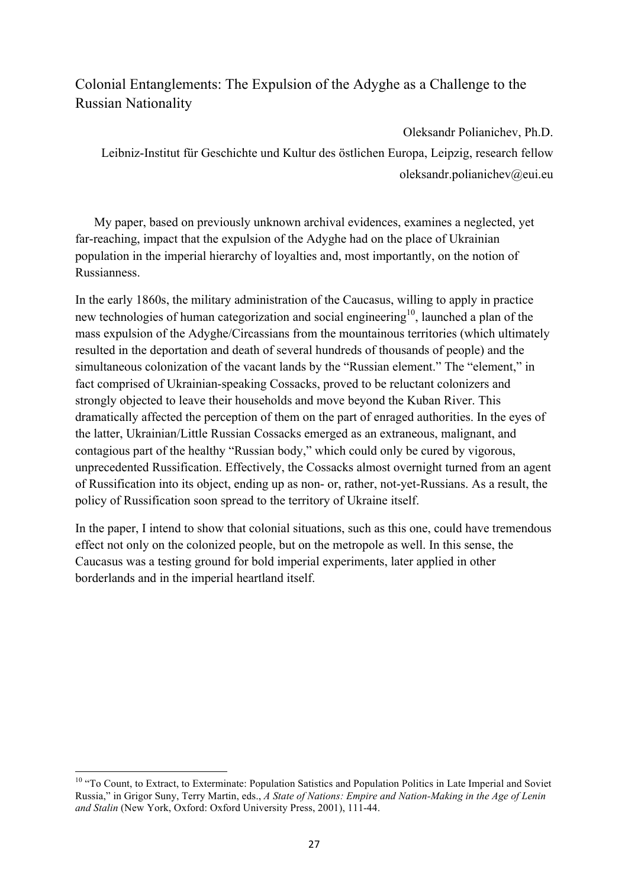# Colonial Entanglements: The Expulsion of the Adyghe as a Challenge to the Russian Nationality

Oleksandr Polianichev, Ph.D.

Leibniz-Institut für Geschichte und Kultur des östlichen Europa, Leipzig, research fellow oleksandr.polianichev@eui.eu

My paper, based on previously unknown archival evidences, examines a neglected, yet far-reaching, impact that the expulsion of the Adyghe had on the place of Ukrainian population in the imperial hierarchy of loyalties and, most importantly, on the notion of Russianness.

In the early 1860s, the military administration of the Caucasus, willing to apply in practice new technologies of human categorization and social engineering<sup>10</sup>, launched a plan of the mass expulsion of the Adyghe/Circassians from the mountainous territories (which ultimately resulted in the deportation and death of several hundreds of thousands of people) and the simultaneous colonization of the vacant lands by the "Russian element." The "element," in fact comprised of Ukrainian-speaking Cossacks, proved to be reluctant colonizers and strongly objected to leave their households and move beyond the Kuban River. This dramatically affected the perception of them on the part of enraged authorities. In the eyes of the latter, Ukrainian/Little Russian Cossacks emerged as an extraneous, malignant, and contagious part of the healthy "Russian body," which could only be cured by vigorous, unprecedented Russification. Effectively, the Cossacks almost overnight turned from an agent of Russification into its object, ending up as non- or, rather, not-yet-Russians. As a result, the policy of Russification soon spread to the territory of Ukraine itself.

In the paper, I intend to show that colonial situations, such as this one, could have tremendous effect not only on the colonized people, but on the metropole as well. In this sense, the Caucasus was a testing ground for bold imperial experiments, later applied in other borderlands and in the imperial heartland itself.

<u> Andrew Maria (1989)</u>

<sup>&</sup>lt;sup>10</sup> "To Count, to Extract, to Exterminate: Population Satistics and Population Politics in Late Imperial and Soviet Russia," in Grigor Suny, Terry Martin, eds., *A State of Nations: Empire and Nation-Making in the Age of Lenin and Stalin* (New York, Oxford: Oxford University Press, 2001), 111-44.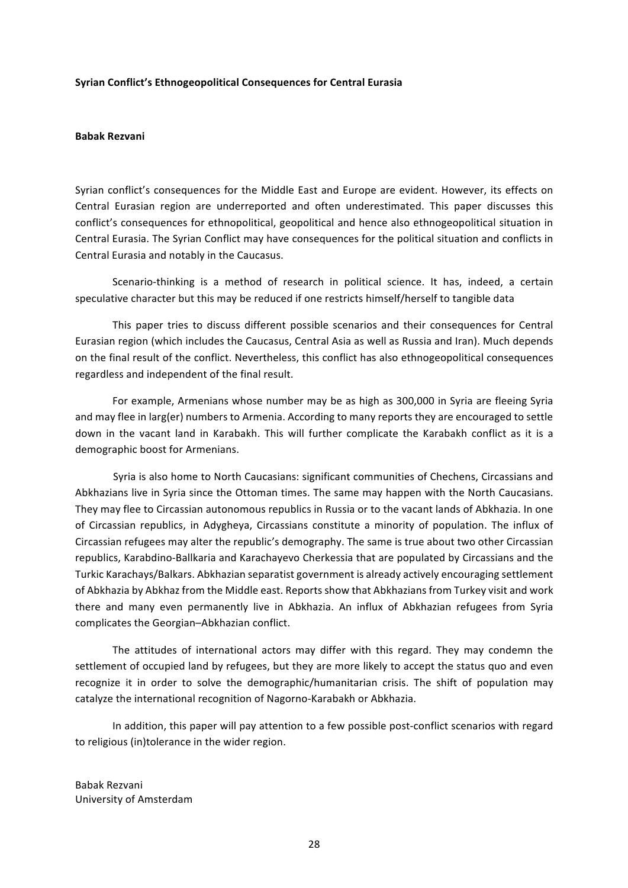### **Syrian Conflict's Ethnogeopolitical Consequences for Central Eurasia**

### **Babak Rezvani**

Syrian conflict's consequences for the Middle East and Europe are evident. However, its effects on Central Eurasian region are underreported and often underestimated. This paper discusses this conflict's consequences for ethnopolitical, geopolitical and hence also ethnogeopolitical situation in Central Eurasia. The Syrian Conflict may have consequences for the political situation and conflicts in Central Eurasia and notably in the Caucasus.

Scenario-thinking is a method of research in political science. It has, indeed, a certain speculative character but this may be reduced if one restricts himself/herself to tangible data

This paper tries to discuss different possible scenarios and their consequences for Central Eurasian region (which includes the Caucasus, Central Asia as well as Russia and Iran). Much depends on the final result of the conflict. Nevertheless, this conflict has also ethnogeopolitical consequences regardless and independent of the final result.

For example, Armenians whose number may be as high as 300,000 in Syria are fleeing Syria and may flee in larg(er) numbers to Armenia. According to many reports they are encouraged to settle down in the vacant land in Karabakh. This will further complicate the Karabakh conflict as it is a demographic boost for Armenians.

Syria is also home to North Caucasians: significant communities of Chechens, Circassians and Abkhazians live in Syria since the Ottoman times. The same may happen with the North Caucasians. They may flee to Circassian autonomous republics in Russia or to the vacant lands of Abkhazia. In one of Circassian republics, in Adygheya, Circassians constitute a minority of population. The influx of Circassian refugees may alter the republic's demography. The same is true about two other Circassian republics, Karabdino-Ballkaria and Karachayevo Cherkessia that are populated by Circassians and the Turkic Karachays/Balkars. Abkhazian separatist government is already actively encouraging settlement of Abkhazia by Abkhaz from the Middle east. Reports show that Abkhazians from Turkey visit and work there and many even permanently live in Abkhazia. An influx of Abkhazian refugees from Syria complicates the Georgian-Abkhazian conflict.

The attitudes of international actors may differ with this regard. They may condemn the settlement of occupied land by refugees, but they are more likely to accept the status quo and even recognize it in order to solve the demographic/humanitarian crisis. The shift of population may catalyze the international recognition of Nagorno-Karabakh or Abkhazia.

In addition, this paper will pay attention to a few possible post-conflict scenarios with regard to religious (in)tolerance in the wider region.

Babak Rezvani University of Amsterdam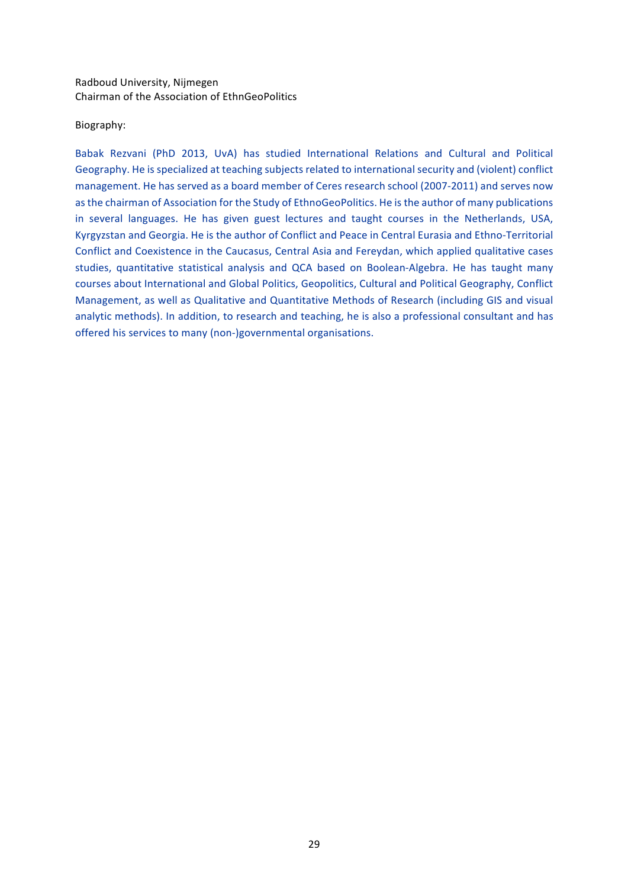## Radboud University, Nijmegen Chairman of the Association of EthnGeoPolitics

### Biography:

Babak Rezvani (PhD 2013, UvA) has studied International Relations and Cultural and Political Geography. He is specialized at teaching subjects related to international security and (violent) conflict management. He has served as a board member of Ceres research school (2007-2011) and serves now as the chairman of Association for the Study of EthnoGeoPolitics. He is the author of many publications in several languages. He has given guest lectures and taught courses in the Netherlands, USA, Kyrgyzstan and Georgia. He is the author of Conflict and Peace in Central Eurasia and Ethno-Territorial Conflict and Coexistence in the Caucasus, Central Asia and Fereydan, which applied qualitative cases studies, quantitative statistical analysis and QCA based on Boolean-Algebra. He has taught many courses about International and Global Politics, Geopolitics, Cultural and Political Geography, Conflict Management, as well as Qualitative and Quantitative Methods of Research (including GIS and visual analytic methods). In addition, to research and teaching, he is also a professional consultant and has offered his services to many (non-)governmental organisations.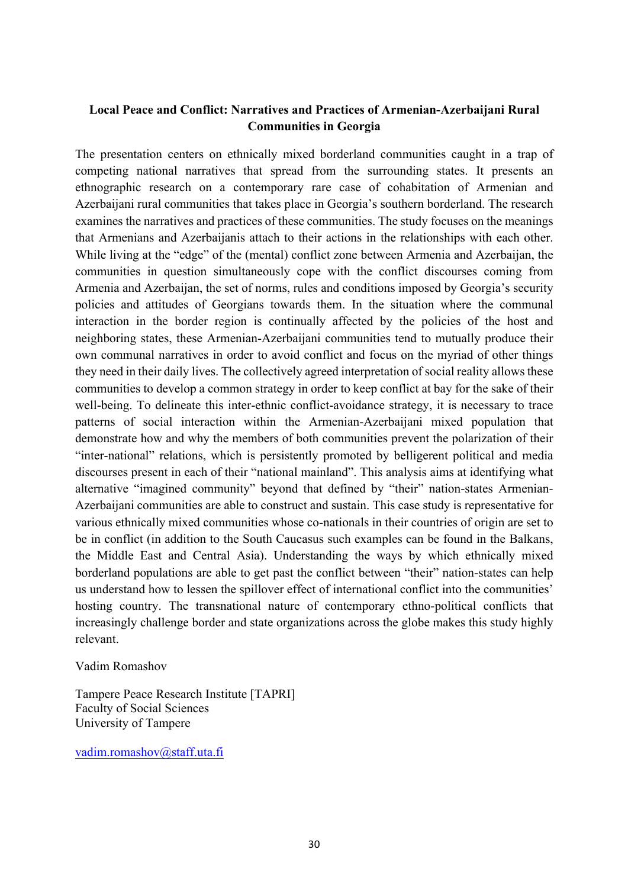## **Local Peace and Conflict: Narratives and Practices of Armenian-Azerbaijani Rural Communities in Georgia**

The presentation centers on ethnically mixed borderland communities caught in a trap of competing national narratives that spread from the surrounding states. It presents an ethnographic research on a contemporary rare case of cohabitation of Armenian and Azerbaijani rural communities that takes place in Georgia's southern borderland. The research examines the narratives and practices of these communities. The study focuses on the meanings that Armenians and Azerbaijanis attach to their actions in the relationships with each other. While living at the "edge" of the (mental) conflict zone between Armenia and Azerbaijan, the communities in question simultaneously cope with the conflict discourses coming from Armenia and Azerbaijan, the set of norms, rules and conditions imposed by Georgia's security policies and attitudes of Georgians towards them. In the situation where the communal interaction in the border region is continually affected by the policies of the host and neighboring states, these Armenian-Azerbaijani communities tend to mutually produce their own communal narratives in order to avoid conflict and focus on the myriad of other things they need in their daily lives. The collectively agreed interpretation of social reality allows these communities to develop a common strategy in order to keep conflict at bay for the sake of their well-being. To delineate this inter-ethnic conflict-avoidance strategy, it is necessary to trace patterns of social interaction within the Armenian-Azerbaijani mixed population that demonstrate how and why the members of both communities prevent the polarization of their "inter-national" relations, which is persistently promoted by belligerent political and media discourses present in each of their "national mainland". This analysis aims at identifying what alternative "imagined community" beyond that defined by "their" nation-states Armenian-Azerbaijani communities are able to construct and sustain. This case study is representative for various ethnically mixed communities whose co-nationals in their countries of origin are set to be in conflict (in addition to the South Caucasus such examples can be found in the Balkans, the Middle East and Central Asia). Understanding the ways by which ethnically mixed borderland populations are able to get past the conflict between "their" nation-states can help us understand how to lessen the spillover effect of international conflict into the communities' hosting country. The transnational nature of contemporary ethno-political conflicts that increasingly challenge border and state organizations across the globe makes this study highly relevant.

Vadim Romashov

Tampere Peace Research Institute [TAPRI] Faculty of Social Sciences University of Tampere

vadim.romashov@staff.uta.fi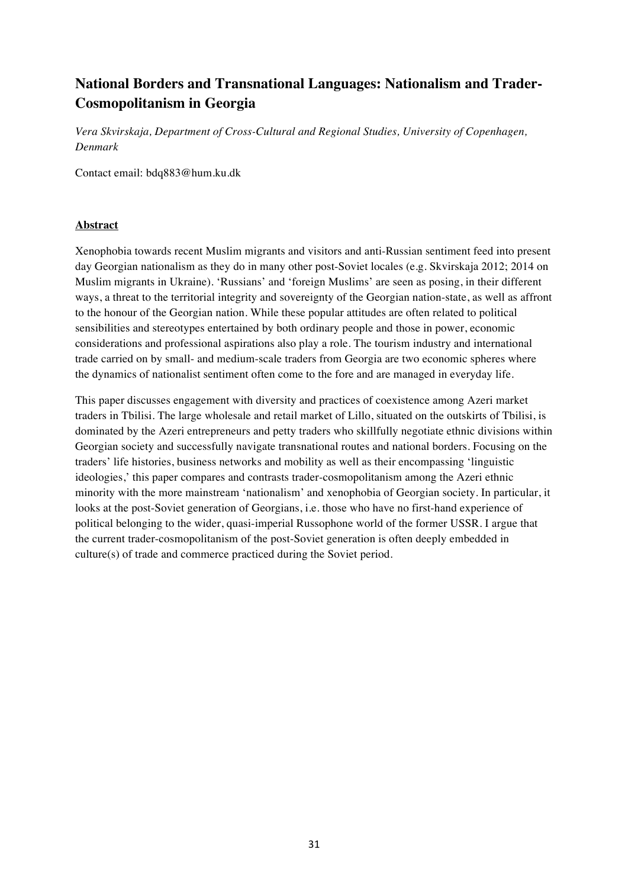# **National Borders and Transnational Languages: Nationalism and Trader-Cosmopolitanism in Georgia**

*Vera Skvirskaja, Department of Cross-Cultural and Regional Studies, University of Copenhagen, Denmark* 

Contact email: bdq883@hum.ku.dk

### **Abstract**

Xenophobia towards recent Muslim migrants and visitors and anti-Russian sentiment feed into present day Georgian nationalism as they do in many other post-Soviet locales (e.g. Skvirskaja 2012; 2014 on Muslim migrants in Ukraine). 'Russians' and 'foreign Muslims' are seen as posing, in their different ways, a threat to the territorial integrity and sovereignty of the Georgian nation-state, as well as affront to the honour of the Georgian nation. While these popular attitudes are often related to political sensibilities and stereotypes entertained by both ordinary people and those in power, economic considerations and professional aspirations also play a role. The tourism industry and international trade carried on by small- and medium-scale traders from Georgia are two economic spheres where the dynamics of nationalist sentiment often come to the fore and are managed in everyday life.

This paper discusses engagement with diversity and practices of coexistence among Azeri market traders in Tbilisi. The large wholesale and retail market of Lillo, situated on the outskirts of Tbilisi, is dominated by the Azeri entrepreneurs and petty traders who skillfully negotiate ethnic divisions within Georgian society and successfully navigate transnational routes and national borders. Focusing on the traders' life histories, business networks and mobility as well as their encompassing 'linguistic ideologies,' this paper compares and contrasts trader-cosmopolitanism among the Azeri ethnic minority with the more mainstream 'nationalism' and xenophobia of Georgian society. In particular, it looks at the post-Soviet generation of Georgians, i.e. those who have no first-hand experience of political belonging to the wider, quasi-imperial Russophone world of the former USSR. I argue that the current trader-cosmopolitanism of the post-Soviet generation is often deeply embedded in culture(s) of trade and commerce practiced during the Soviet period.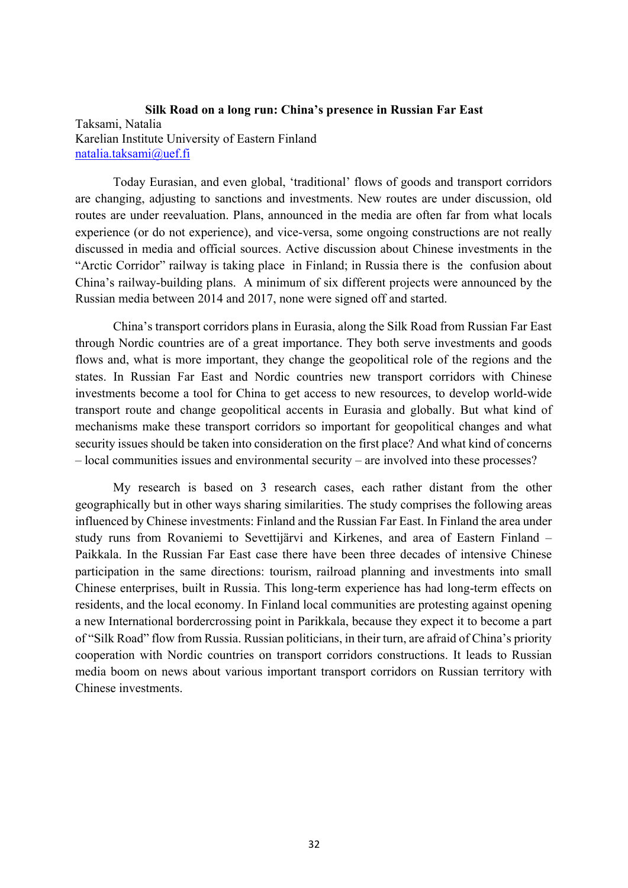## **Silk Road on a long run: China's presence in Russian Far East** Taksami, Natalia Karelian Institute University of Eastern Finland natalia.taksami@uef.fi

Today Eurasian, and even global, 'traditional' flows of goods and transport corridors are changing, adjusting to sanctions and investments. New routes are under discussion, old routes are under reevaluation. Plans, announced in the media are often far from what locals experience (or do not experience), and vice-versa, some ongoing constructions are not really discussed in media and official sources. Active discussion about Chinese investments in the "Arctic Corridor" railway is taking place in Finland; in Russia there is the confusion about China's railway-building plans. A minimum of six different projects were announced by the Russian media between 2014 and 2017, none were signed off and started.

China's transport corridors plans in Eurasia, along the Silk Road from Russian Far East through Nordic countries are of a great importance. They both serve investments and goods flows and, what is more important, they change the geopolitical role of the regions and the states. In Russian Far East and Nordic countries new transport corridors with Chinese investments become a tool for China to get access to new resources, to develop world-wide transport route and change geopolitical accents in Eurasia and globally. But what kind of mechanisms make these transport corridors so important for geopolitical changes and what security issues should be taken into consideration on the first place? And what kind of concerns – local communities issues and environmental security – are involved into these processes?

My research is based on 3 research cases, each rather distant from the other geographically but in other ways sharing similarities. The study comprises the following areas influenced by Chinese investments: Finland and the Russian Far East. In Finland the area under study runs from Rovaniemi to Sevettijärvi and Kirkenes, and area of Eastern Finland – Paikkala. In the Russian Far East case there have been three decades of intensive Chinese participation in the same directions: tourism, railroad planning and investments into small Chinese enterprises, built in Russia. This long-term experience has had long-term effects on residents, and the local economy. In Finland local communities are protesting against opening a new International bordercrossing point in Parikkala, because they expect it to become a part of "Silk Road" flow from Russia. Russian politicians, in their turn, are afraid of China's priority cooperation with Nordic countries on transport corridors constructions. It leads to Russian media boom on news about various important transport corridors on Russian territory with Chinese investments.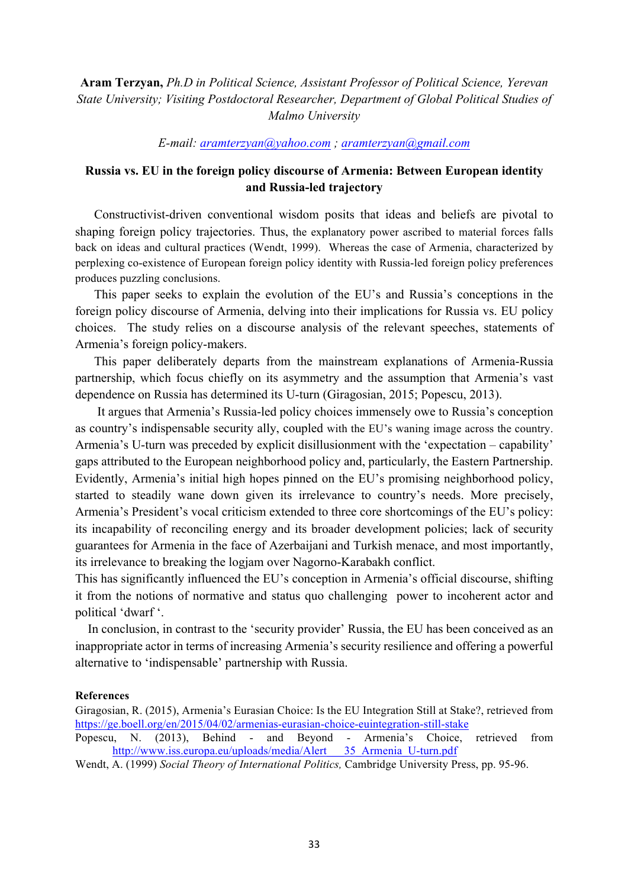## **Aram Terzyan,** *Ph.D in Political Science, Assistant Professor of Political Science, Yerevan State University; Visiting Postdoctoral Researcher, Department of Global Political Studies of Malmo University*

*E-mail: aramterzyan@yahoo.com ; aramterzyan@gmail.com*

## **Russia vs. EU in the foreign policy discourse of Armenia: Between European identity and Russia-led trajectory**

 Constructivist-driven conventional wisdom posits that ideas and beliefs are pivotal to shaping foreign policy trajectories. Thus, the explanatory power ascribed to material forces falls back on ideas and cultural practices (Wendt, 1999). Whereas the case of Armenia, characterized by perplexing co-existence of European foreign policy identity with Russia-led foreign policy preferences produces puzzling conclusions.

 This paper seeks to explain the evolution of the EU's and Russia's conceptions in the foreign policy discourse of Armenia, delving into their implications for Russia vs. EU policy choices. The study relies on a discourse analysis of the relevant speeches, statements of Armenia's foreign policy-makers.

 This paper deliberately departs from the mainstream explanations of Armenia-Russia partnership, which focus chiefly on its asymmetry and the assumption that Armenia's vast dependence on Russia has determined its U-turn (Giragosian, 2015; Popescu, 2013).

 It argues that Armenia's Russia-led policy choices immensely owe to Russia's conception as country's indispensable security ally, coupled with the EU's waning image across the country. Armenia's U-turn was preceded by explicit disillusionment with the 'expectation – capability' gaps attributed to the European neighborhood policy and, particularly, the Eastern Partnership. Evidently, Armenia's initial high hopes pinned on the EU's promising neighborhood policy, started to steadily wane down given its irrelevance to country's needs. More precisely, Armenia's President's vocal criticism extended to three core shortcomings of the EU's policy: its incapability of reconciling energy and its broader development policies; lack of security guarantees for Armenia in the face of Azerbaijani and Turkish menace, and most importantly, its irrelevance to breaking the logjam over Nagorno-Karabakh conflict.

This has significantly influenced the EU's conception in Armenia's official discourse, shifting it from the notions of normative and status quo challenging power to incoherent actor and political 'dwarf '.

 In conclusion, in contrast to the 'security provider' Russia, the EU has been conceived as an inappropriate actor in terms of increasing Armenia's security resilience and offering a powerful alternative to 'indispensable' partnership with Russia.

### **References**

Giragosian, R. (2015), Armenia's Eurasian Choice: Is the EU Integration Still at Stake?, retrieved from https://ge.boell.org/en/2015/04/02/armenias-eurasian-choice-euintegration-still-stake

Popescu, N. (2013), Behind - and Beyond - Armenia's Choice, retrieved from http://www.iss.europa.eu/uploads/media/Alert\_\_\_35\_Armenia\_U-turn.pdf

Wendt, A. (1999) *Social Theory of International Politics,* Cambridge University Press, pp. 95-96.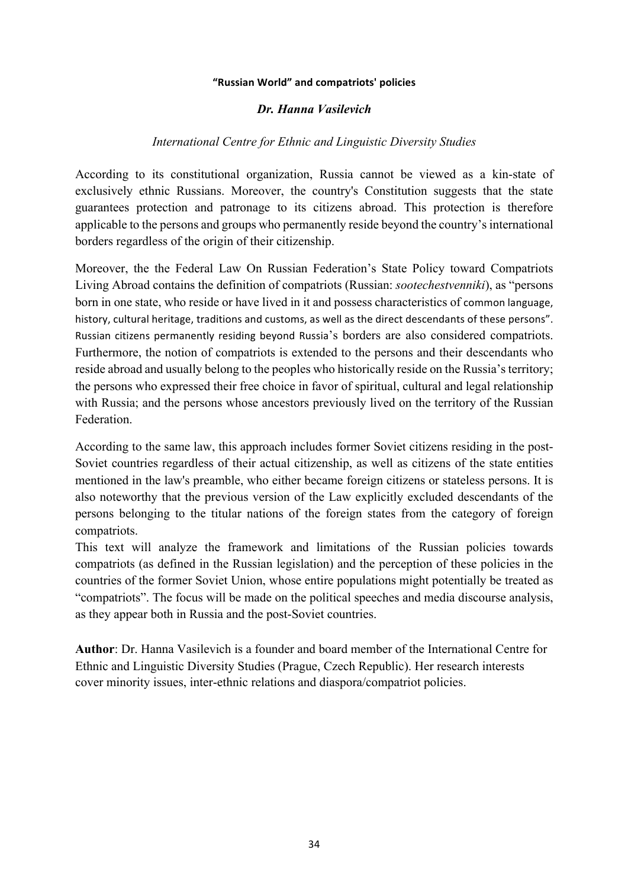### **"Russian World" and compatriots' policies**

## *Dr. Hanna Vasilevich*

## *International Centre for Ethnic and Linguistic Diversity Studies*

According to its constitutional organization, Russia cannot be viewed as a kin-state of exclusively ethnic Russians. Moreover, the country's Constitution suggests that the state guarantees protection and patronage to its citizens abroad. This protection is therefore applicable to the persons and groups who permanently reside beyond the country's international borders regardless of the origin of their citizenship.

Moreover, the the Federal Law On Russian Federation's State Policy toward Compatriots Living Abroad contains the definition of compatriots (Russian: *sootechestvenniki*), as "persons born in one state, who reside or have lived in it and possess characteristics of common language, history, cultural heritage, traditions and customs, as well as the direct descendants of these persons". Russian citizens permanently residing beyond Russia's borders are also considered compatriots. Furthermore, the notion of compatriots is extended to the persons and their descendants who reside abroad and usually belong to the peoples who historically reside on the Russia's territory; the persons who expressed their free choice in favor of spiritual, cultural and legal relationship with Russia; and the persons whose ancestors previously lived on the territory of the Russian Federation.

According to the same law, this approach includes former Soviet citizens residing in the post-Soviet countries regardless of their actual citizenship, as well as citizens of the state entities mentioned in the law's preamble, who either became foreign citizens or stateless persons. It is also noteworthy that the previous version of the Law explicitly excluded descendants of the persons belonging to the titular nations of the foreign states from the category of foreign compatriots.

This text will analyze the framework and limitations of the Russian policies towards compatriots (as defined in the Russian legislation) and the perception of these policies in the countries of the former Soviet Union, whose entire populations might potentially be treated as "compatriots". The focus will be made on the political speeches and media discourse analysis, as they appear both in Russia and the post-Soviet countries.

**Author**: Dr. Hanna Vasilevich is a founder and board member of the International Centre for Ethnic and Linguistic Diversity Studies (Prague, Czech Republic). Her research interests cover minority issues, inter-ethnic relations and diaspora/compatriot policies.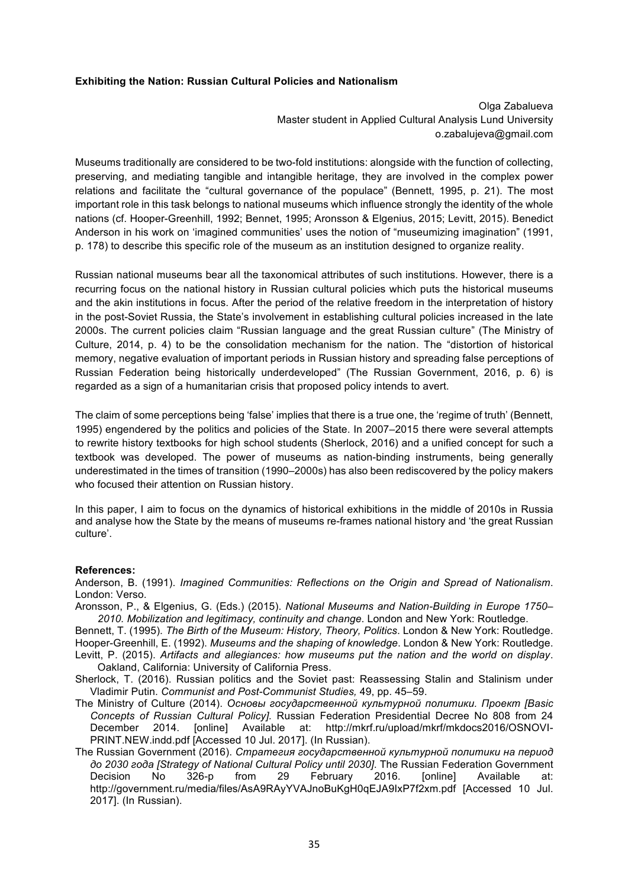#### **Exhibiting the Nation: Russian Cultural Policies and Nationalism**

Olga Zabalueva Master student in Applied Cultural Analysis Lund University o.zabalujeva@gmail.com

Museums traditionally are considered to be two-fold institutions: alongside with the function of collecting, preserving, and mediating tangible and intangible heritage, they are involved in the complex power relations and facilitate the "cultural governance of the populace" (Bennett, 1995, p. 21). The most important role in this task belongs to national museums which influence strongly the identity of the whole nations (cf. Hooper-Greenhill, 1992; Bennet, 1995; Aronsson & Elgenius, 2015; Levitt, 2015). Benedict Anderson in his work on 'imagined communities' uses the notion of "museumizing imagination" (1991, p. 178) to describe this specific role of the museum as an institution designed to organize reality.

Russian national museums bear all the taxonomical attributes of such institutions. However, there is a recurring focus on the national history in Russian cultural policies which puts the historical museums and the akin institutions in focus. After the period of the relative freedom in the interpretation of history in the post-Soviet Russia, the State's involvement in establishing cultural policies increased in the late 2000s. The current policies claim "Russian language and the great Russian culture" (The Ministry of Culture, 2014, p. 4) to be the consolidation mechanism for the nation. The "distortion of historical memory, negative evaluation of important periods in Russian history and spreading false perceptions of Russian Federation being historically underdeveloped" (The Russian Government, 2016, p. 6) is regarded as a sign of a humanitarian crisis that proposed policy intends to avert.

The claim of some perceptions being 'false' implies that there is a true one, the 'regime of truth' (Bennett, 1995) engendered by the politics and policies of the State. In 2007–2015 there were several attempts to rewrite history textbooks for high school students (Sherlock, 2016) and a unified concept for such a textbook was developed. The power of museums as nation-binding instruments, being generally underestimated in the times of transition (1990–2000s) has also been rediscovered by the policy makers who focused their attention on Russian history.

In this paper, I aim to focus on the dynamics of historical exhibitions in the middle of 2010s in Russia and analyse how the State by the means of museums re-frames national history and 'the great Russian culture'.

### **References:**

Anderson, B. (1991). *Imagined Communities: Reflections on the Origin and Spread of Nationalism*. London: Verso.

Aronsson, P., & Elgenius, G. (Eds.) (2015). *National Museums and Nation-Building in Europe 1750– 2010. Mobilization and legitimacy, continuity and change*. London and New York: Routledge.

Bennett, T. (1995). *The Birth of the Museum: History, Theory, Politics*. London & New York: Routledge. Hooper-Greenhill, E. (1992). *Museums and the shaping of knowledge*. London & New York: Routledge. Levitt, P. (2015). *Artifacts and allegiances: how museums put the nation and the world on display*.

Oakland, California: University of California Press.

Sherlock, T. (2016). Russian politics and the Soviet past: Reassessing Stalin and Stalinism under Vladimir Putin. *Communist and Post-Communist Studies,* 49, pp. 45–59.

- The Ministry of Culture (2014). *Основы государственной культурной политики. Проект [Basic Concepts of Russian Cultural Policy].* Russian Federation Presidential Decree No 808 from 24 December 2014. [online] Available at: http://mkrf.ru/upload/mkrf/mkdocs2016/OSNOVI-PRINT.NEW.indd.pdf [Accessed 10 Jul. 2017]. (In Russian).
- The Russian Government (2016). *Стратегия государственной культурной политики на период до 2030 года [Strategy of National Cultural Policy until 2030]*. The Russian Federation Government Decision No 326-p from 29 February 2016. [online] Available at: http://government.ru/media/files/AsA9RAyYVAJnoBuKgH0qEJA9IxP7f2xm.pdf [Accessed 10 Jul. 2017]. (In Russian).